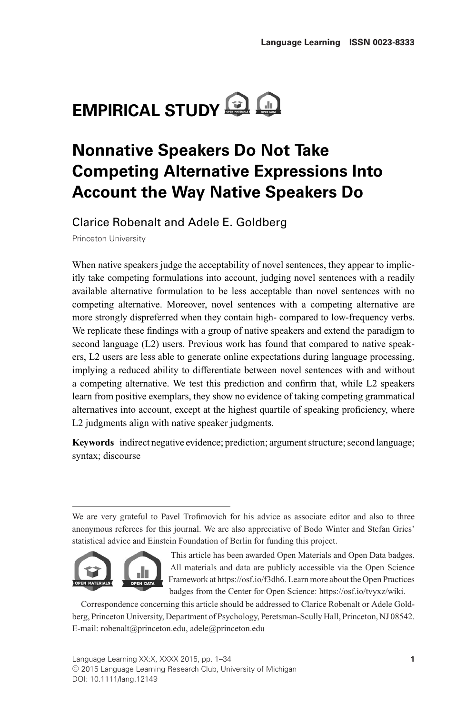# **EMPIRICAL STUDY Q**

# **Nonnative Speakers Do Not Take Competing Alternative Expressions Into Account the Way Native Speakers Do**

Clarice Robenalt and Adele E. Goldberg

Princeton University

When native speakers judge the acceptability of novel sentences, they appear to implicitly take competing formulations into account, judging novel sentences with a readily available alternative formulation to be less acceptable than novel sentences with no competing alternative. Moreover, novel sentences with a competing alternative are more strongly dispreferred when they contain high- compared to low-frequency verbs. We replicate these findings with a group of native speakers and extend the paradigm to second language (L2) users. Previous work has found that compared to native speakers, L2 users are less able to generate online expectations during language processing, implying a reduced ability to differentiate between novel sentences with and without a competing alternative. We test this prediction and confirm that, while L2 speakers learn from positive exemplars, they show no evidence of taking competing grammatical alternatives into account, except at the highest quartile of speaking proficiency, where L2 judgments align with native speaker judgments.

**Keywords** indirect negative evidence; prediction; argument structure; second language; syntax; discourse

We are very grateful to Pavel Trofimovich for his advice as associate editor and also to three anonymous referees for this journal. We are also appreciative of Bodo Winter and Stefan Gries' statistical advice and Einstein Foundation of Berlin for funding this project.



This article has been awarded Open Materials and Open Data badges. All materials and data are publicly accessible via the Open Science Framework at https://osf.io/f3dh6. Learn more about the Open Practices badges from the Center for Open Science: https://osf.io/tvyxz/wiki.

Correspondence concerning this article should be addressed to Clarice Robenalt or Adele Goldberg, Princeton University, Department of Psychology, Peretsman-Scully Hall, Princeton, NJ 08542. E-mail: robenalt@princeton.edu, adele@princeton.edu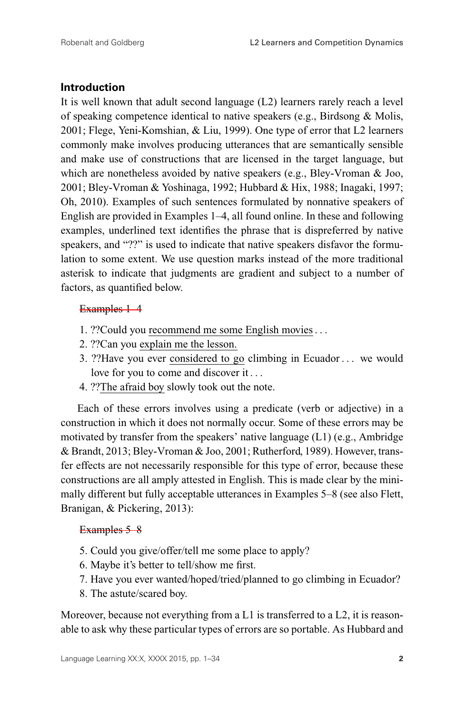## **Introduction**

It is well known that adult second language (L2) learners rarely reach a level of speaking competence identical to native speakers (e.g., Birdsong & Molis, 2001; Flege, Yeni-Komshian, & Liu, 1999). One type of error that L2 learners commonly make involves producing utterances that are semantically sensible and make use of constructions that are licensed in the target language, but which are nonetheless avoided by native speakers (e.g., Bley-Vroman & Joo, 2001; Bley-Vroman & Yoshinaga, 1992; Hubbard & Hix, 1988; Inagaki, 1997; Oh, 2010). Examples of such sentences formulated by nonnative speakers of English are provided in Examples 1–4, all found online. In these and following examples, underlined text identifies the phrase that is dispreferred by native speakers, and "??" is used to indicate that native speakers disfavor the formulation to some extent. We use question marks instead of the more traditional asterisk to indicate that judgments are gradient and subject to a number of factors, as quantified below.

#### Examples 1–4

- 1. ??Could you recommend me some English movies . . .
- 2. ??Can you explain me the lesson.
- 3. ??Have you ever considered to go climbing in Ecuador . . . we would love for you to come and discover it . . .
- 4. ??The afraid boy slowly took out the note.

Each of these errors involves using a predicate (verb or adjective) in a construction in which it does not normally occur. Some of these errors may be motivated by transfer from the speakers' native language (L1) (e.g., Ambridge & Brandt, 2013; Bley-Vroman & Joo, 2001; Rutherford, 1989). However, transfer effects are not necessarily responsible for this type of error, because these constructions are all amply attested in English. This is made clear by the minimally different but fully acceptable utterances in Examples 5–8 (see also Flett, Branigan, & Pickering, 2013):

#### Examples 5–8

- 5. Could you give/offer/tell me some place to apply?
- 6. Maybe it's better to tell/show me first.
- 7. Have you ever wanted/hoped/tried/planned to go climbing in Ecuador?
- 8. The astute/scared boy.

Moreover, because not everything from a L1 is transferred to a L2, it is reasonable to ask why these particular types of errors are so portable. As Hubbard and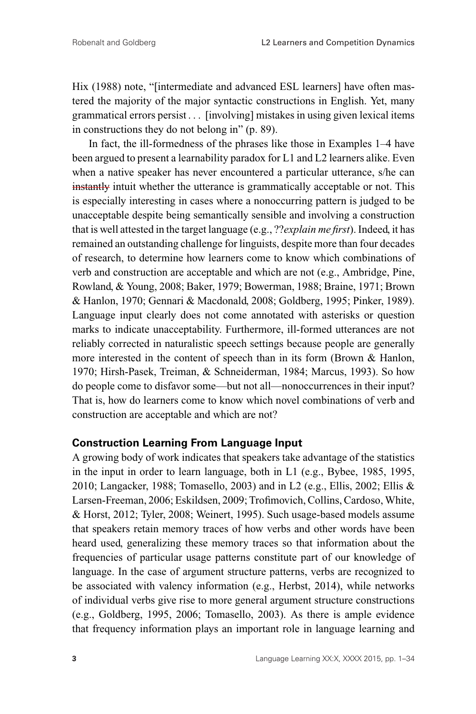Hix (1988) note, "[intermediate and advanced ESL learners] have often mastered the majority of the major syntactic constructions in English. Yet, many grammatical errors persist . . . [involving] mistakes in using given lexical items in constructions they do not belong in" (p. 89).

In fact, the ill-formedness of the phrases like those in Examples 1–4 have been argued to present a learnability paradox for L1 and L2 learners alike. Even when a native speaker has never encountered a particular utterance, s/he can instantly intuit whether the utterance is grammatically acceptable or not. This is especially interesting in cases where a nonoccurring pattern is judged to be unacceptable despite being semantically sensible and involving a construction that is well attested in the target language (e.g., ??*explain me first*). Indeed, it has remained an outstanding challenge for linguists, despite more than four decades of research, to determine how learners come to know which combinations of verb and construction are acceptable and which are not (e.g., Ambridge, Pine, Rowland, & Young, 2008; Baker, 1979; Bowerman, 1988; Braine, 1971; Brown & Hanlon, 1970; Gennari & Macdonald, 2008; Goldberg, 1995; Pinker, 1989). Language input clearly does not come annotated with asterisks or question marks to indicate unacceptability. Furthermore, ill-formed utterances are not reliably corrected in naturalistic speech settings because people are generally more interested in the content of speech than in its form (Brown & Hanlon, 1970; Hirsh-Pasek, Treiman, & Schneiderman, 1984; Marcus, 1993). So how do people come to disfavor some—but not all—nonoccurrences in their input? That is, how do learners come to know which novel combinations of verb and construction are acceptable and which are not?

#### **Construction Learning From Language Input**

A growing body of work indicates that speakers take advantage of the statistics in the input in order to learn language, both in L1 (e.g., Bybee, 1985, 1995, 2010; Langacker, 1988; Tomasello, 2003) and in L2 (e.g., Ellis, 2002; Ellis & Larsen-Freeman, 2006; Eskildsen, 2009; Trofimovich, Collins, Cardoso, White, & Horst, 2012; Tyler, 2008; Weinert, 1995). Such usage-based models assume that speakers retain memory traces of how verbs and other words have been heard used, generalizing these memory traces so that information about the frequencies of particular usage patterns constitute part of our knowledge of language. In the case of argument structure patterns, verbs are recognized to be associated with valency information (e.g., Herbst, 2014), while networks of individual verbs give rise to more general argument structure constructions (e.g., Goldberg, 1995, 2006; Tomasello, 2003). As there is ample evidence that frequency information plays an important role in language learning and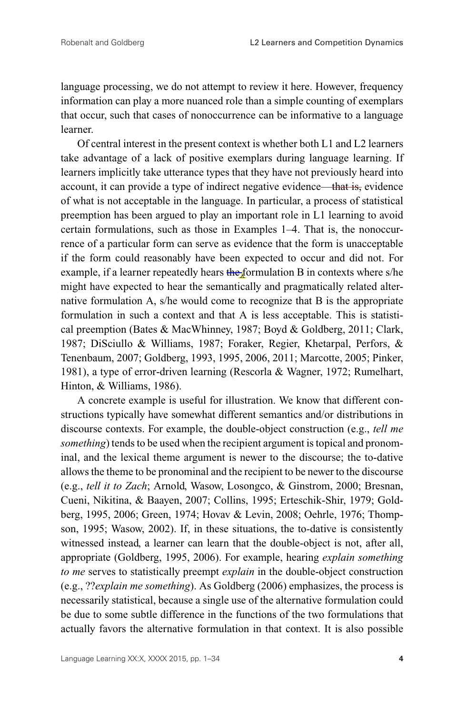language processing, we do not attempt to review it here. However, frequency information can play a more nuanced role than a simple counting of exemplars that occur, such that cases of nonoccurrence can be informative to a language learner.

Of central interest in the present context is whether both L1 and L2 learners take advantage of a lack of positive exemplars during language learning. If learners implicitly take utterance types that they have not previously heard into account, it can provide a type of indirect negative evidence—that is, evidence of what is not acceptable in the language. In particular, a process of statistical preemption has been argued to play an important role in L1 learning to avoid certain formulations, such as those in Examples 1–4. That is, the nonoccurrence of a particular form can serve as evidence that the form is unacceptable if the form could reasonably have been expected to occur and did not. For example, if a learner repeatedly hears the formulation B in contexts where s/he might have expected to hear the semantically and pragmatically related alternative formulation A, s/he would come to recognize that B is the appropriate formulation in such a context and that A is less acceptable. This is statistical preemption (Bates & MacWhinney, 1987; Boyd & Goldberg, 2011; Clark, 1987; DiSciullo & Williams, 1987; Foraker, Regier, Khetarpal, Perfors, & Tenenbaum, 2007; Goldberg, 1993, 1995, 2006, 2011; Marcotte, 2005; Pinker, 1981), a type of error-driven learning (Rescorla & Wagner, 1972; Rumelhart, Hinton, & Williams, 1986).

A concrete example is useful for illustration. We know that different constructions typically have somewhat different semantics and/or distributions in discourse contexts. For example, the double-object construction (e.g., *tell me something*) tends to be used when the recipient argument is topical and pronominal, and the lexical theme argument is newer to the discourse; the to-dative allows the theme to be pronominal and the recipient to be newer to the discourse (e.g., *tell it to Zach*; Arnold, Wasow, Losongco, & Ginstrom, 2000; Bresnan, Cueni, Nikitina, & Baayen, 2007; Collins, 1995; Erteschik-Shir, 1979; Goldberg, 1995, 2006; Green, 1974; Hovav & Levin, 2008; Oehrle, 1976; Thompson, 1995; Wasow, 2002). If, in these situations, the to*-*dative is consistently witnessed instead, a learner can learn that the double-object is not, after all, appropriate (Goldberg, 1995, 2006). For example, hearing *explain something to me* serves to statistically preempt *explain* in the double-object construction (e.g., ??*explain me something*). As Goldberg (2006) emphasizes, the process is necessarily statistical, because a single use of the alternative formulation could be due to some subtle difference in the functions of the two formulations that actually favors the alternative formulation in that context. It is also possible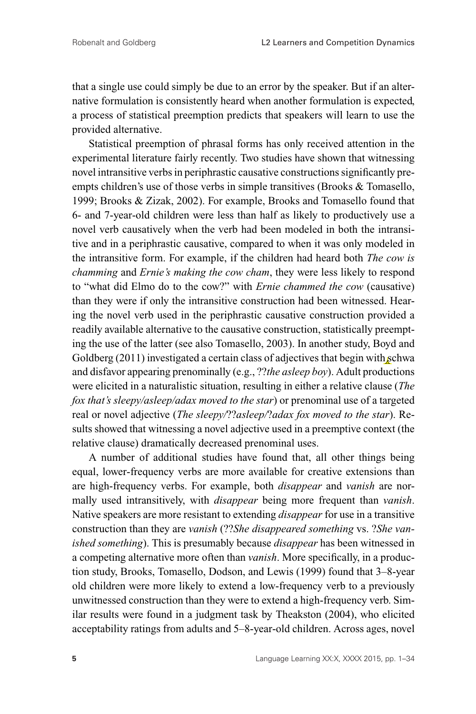that a single use could simply be due to an error by the speaker. But if an alternative formulation is consistently heard when another formulation is expected, a process of statistical preemption predicts that speakers will learn to use the provided alternative.

Statistical preemption of phrasal forms has only received attention in the experimental literature fairly recently. Two studies have shown that witnessing novel intransitive verbs in periphrastic causative constructions significantly preempts children's use of those verbs in simple transitives (Brooks & Tomasello, 1999; Brooks & Zizak, 2002). For example, Brooks and Tomasello found that 6- and 7-year-old children were less than half as likely to productively use a novel verb causatively when the verb had been modeled in both the intransitive and in a periphrastic causative, compared to when it was only modeled in the intransitive form. For example, if the children had heard both *The cow is chamming* and *Ernie's making the cow cham*, they were less likely to respond to "what did Elmo do to the cow?" with *Ernie chammed the cow* (causative) than they were if only the intransitive construction had been witnessed. Hearing the novel verb used in the periphrastic causative construction provided a readily available alternative to the causative construction, statistically preempting the use of the latter (see also Tomasello, 2003). In another study, Boyd and Goldberg (2011) investigated a certain class of adjectives that begin with schwa and disfavor appearing prenominally (e.g., ??*the asleep boy*). Adult productions were elicited in a naturalistic situation, resulting in either a relative clause (*The fox that's sleepy/asleep/adax moved to the star*) or prenominal use of a targeted real or novel adjective (*The sleepy/*??*asleep/*?*adax fox moved to the star*). Results showed that witnessing a novel adjective used in a preemptive context (the relative clause) dramatically decreased prenominal uses.

A number of additional studies have found that, all other things being equal, lower-frequency verbs are more available for creative extensions than are high-frequency verbs. For example, both *disappear* and *vanish* are normally used intransitively, with *disappear* being more frequent than *vanish*. Native speakers are more resistant to extending *disappear* for use in a transitive construction than they are *vanish* (??*She disappeared something* vs. ?*She vanished something*). This is presumably because *disappear* has been witnessed in a competing alternative more often than *vanish*. More specifically, in a production study, Brooks, Tomasello, Dodson, and Lewis (1999) found that 3–8-year old children were more likely to extend a low-frequency verb to a previously unwitnessed construction than they were to extend a high-frequency verb. Similar results were found in a judgment task by Theakston (2004), who elicited acceptability ratings from adults and 5–8-year-old children. Across ages, novel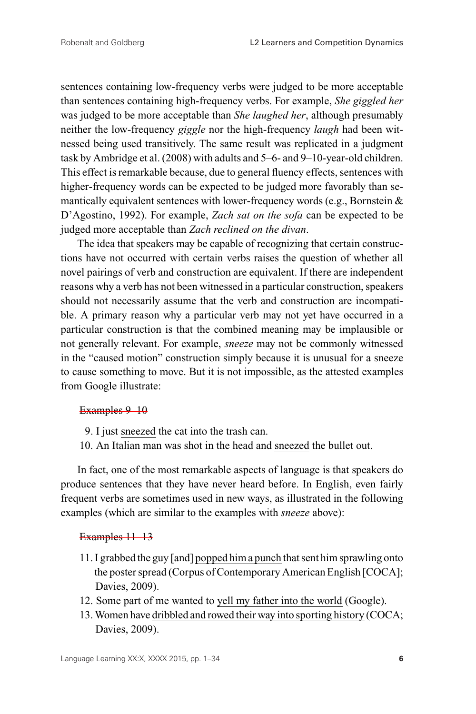sentences containing low-frequency verbs were judged to be more acceptable than sentences containing high-frequency verbs. For example, *She giggled her* was judged to be more acceptable than *She laughed her*, although presumably neither the low-frequency *giggle* nor the high-frequency *laugh* had been witnessed being used transitively. The same result was replicated in a judgment task by Ambridge et al. (2008) with adults and 5–6- and 9–10-year-old children. This effect is remarkable because, due to general fluency effects, sentences with higher-frequency words can be expected to be judged more favorably than semantically equivalent sentences with lower-frequency words (e.g., Bornstein  $\&$ D'Agostino, 1992). For example, *Zach sat on the sofa* can be expected to be judged more acceptable than *Zach reclined on the divan*.

The idea that speakers may be capable of recognizing that certain constructions have not occurred with certain verbs raises the question of whether all novel pairings of verb and construction are equivalent. If there are independent reasons why a verb has not been witnessed in a particular construction, speakers should not necessarily assume that the verb and construction are incompatible. A primary reason why a particular verb may not yet have occurred in a particular construction is that the combined meaning may be implausible or not generally relevant. For example, *sneeze* may not be commonly witnessed in the "caused motion" construction simply because it is unusual for a sneeze to cause something to move. But it is not impossible, as the attested examples from Google illustrate:

#### Examples 9–10

- 9. I just sneezed the cat into the trash can.
- 10. An Italian man was shot in the head and sneezed the bullet out.

In fact, one of the most remarkable aspects of language is that speakers do produce sentences that they have never heard before. In English, even fairly frequent verbs are sometimes used in new ways, as illustrated in the following examples (which are similar to the examples with *sneeze* above):

#### Examples 11–13

- 11. I grabbed the guy [and] popped hima punch that sent him sprawling onto the poster spread (Corpus of Contemporary American English [COCA]; Davies, 2009).
- 12. Some part of me wanted to yell my father into the world (Google).
- 13.Women have dribbled and rowed their way into sporting history (COCA; Davies, 2009).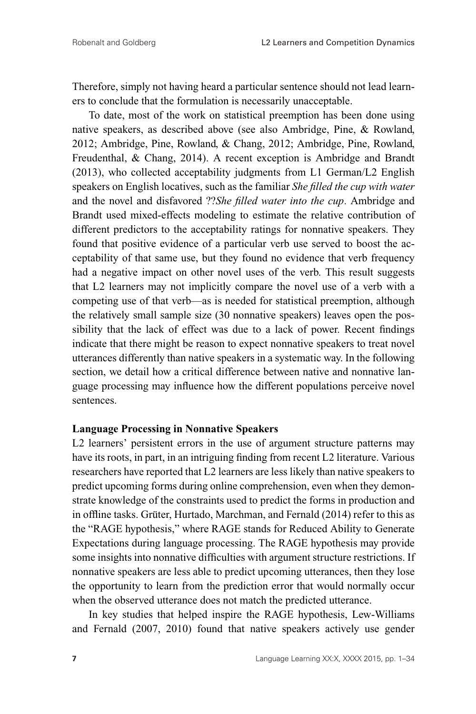Therefore, simply not having heard a particular sentence should not lead learners to conclude that the formulation is necessarily unacceptable.

To date, most of the work on statistical preemption has been done using native speakers, as described above (see also Ambridge, Pine, & Rowland, 2012; Ambridge, Pine, Rowland, & Chang, 2012; Ambridge, Pine, Rowland, Freudenthal, & Chang, 2014). A recent exception is Ambridge and Brandt (2013), who collected acceptability judgments from L1 German/L2 English speakers on English locatives, such as the familiar *She filled the cup with water* and the novel and disfavored ??*She filled water into the cup*. Ambridge and Brandt used mixed-effects modeling to estimate the relative contribution of different predictors to the acceptability ratings for nonnative speakers. They found that positive evidence of a particular verb use served to boost the acceptability of that same use, but they found no evidence that verb frequency had a negative impact on other novel uses of the verb. This result suggests that L2 learners may not implicitly compare the novel use of a verb with a competing use of that verb—as is needed for statistical preemption, although the relatively small sample size (30 nonnative speakers) leaves open the possibility that the lack of effect was due to a lack of power. Recent findings indicate that there might be reason to expect nonnative speakers to treat novel utterances differently than native speakers in a systematic way. In the following section, we detail how a critical difference between native and nonnative language processing may influence how the different populations perceive novel sentences.

#### **Language Processing in Nonnative Speakers**

L<sub>2</sub> learners' persistent errors in the use of argument structure patterns may have its roots, in part, in an intriguing finding from recent L2 literature. Various researchers have reported that L2 learners are less likely than native speakers to predict upcoming forms during online comprehension, even when they demonstrate knowledge of the constraints used to predict the forms in production and in offline tasks. Grüter, Hurtado, Marchman, and Fernald (2014) refer to this as the "RAGE hypothesis," where RAGE stands for Reduced Ability to Generate Expectations during language processing. The RAGE hypothesis may provide some insights into nonnative difficulties with argument structure restrictions. If nonnative speakers are less able to predict upcoming utterances, then they lose the opportunity to learn from the prediction error that would normally occur when the observed utterance does not match the predicted utterance.

In key studies that helped inspire the RAGE hypothesis, Lew-Williams and Fernald (2007, 2010) found that native speakers actively use gender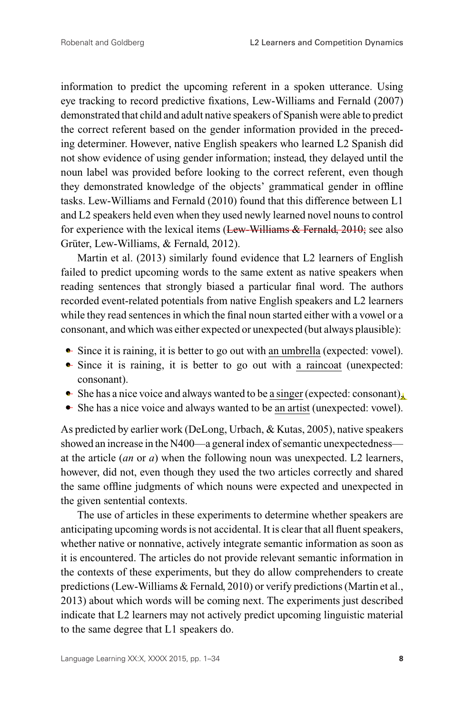information to predict the upcoming referent in a spoken utterance. Using eye tracking to record predictive fixations, Lew-Williams and Fernald (2007) demonstrated that child and adult native speakers of Spanish were able to predict the correct referent based on the gender information provided in the preceding determiner. However, native English speakers who learned L2 Spanish did not show evidence of using gender information; instead, they delayed until the noun label was provided before looking to the correct referent, even though they demonstrated knowledge of the objects' grammatical gender in offline tasks. Lew-Williams and Fernald (2010) found that this difference between L1 and L2 speakers held even when they used newly learned novel nouns to control for experience with the lexical items (Lew-Williams & Fernald, 2010; see also Grüter, Lew-Williams, & Fernald, 2012).

Martin et al. (2013) similarly found evidence that L2 learners of English failed to predict upcoming words to the same extent as native speakers when reading sentences that strongly biased a particular final word. The authors recorded event-related potentials from native English speakers and L2 learners while they read sentences in which the final noun started either with a vowel or a consonant, and which was either expected or unexpected (but always plausible):

- Since it is raining, it is better to go out with an umbrella (expected: vowel).
- Since it is raining, it is better to go out with a raincoat (unexpected: consonant).
- She has a nice voice and always wanted to be a singer (expected: consonant).
- She has a nice voice and always wanted to be an artist (unexpected: vowel).

As predicted by earlier work (DeLong, Urbach, & Kutas, 2005), native speakers showed an increase in the N400—a general index of semantic unexpectedness at the article (*an* or *a*) when the following noun was unexpected. L2 learners, however, did not, even though they used the two articles correctly and shared the same offline judgments of which nouns were expected and unexpected in the given sentential contexts.

The use of articles in these experiments to determine whether speakers are anticipating upcoming words is not accidental. It is clear that all fluent speakers, whether native or nonnative, actively integrate semantic information as soon as it is encountered. The articles do not provide relevant semantic information in the contexts of these experiments, but they do allow comprehenders to create predictions (Lew-Williams & Fernald, 2010) or verify predictions (Martin et al., 2013) about which words will be coming next. The experiments just described indicate that L2 learners may not actively predict upcoming linguistic material to the same degree that L1 speakers do.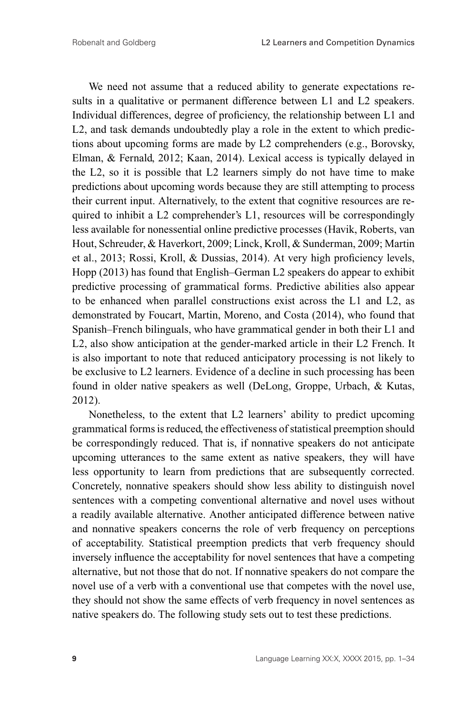We need not assume that a reduced ability to generate expectations results in a qualitative or permanent difference between L1 and L2 speakers. Individual differences, degree of proficiency, the relationship between L1 and L2, and task demands undoubtedly play a role in the extent to which predictions about upcoming forms are made by L2 comprehenders (e.g., Borovsky, Elman, & Fernald, 2012; Kaan, 2014). Lexical access is typically delayed in the L2, so it is possible that L2 learners simply do not have time to make predictions about upcoming words because they are still attempting to process their current input. Alternatively, to the extent that cognitive resources are required to inhibit a L2 comprehender's L1, resources will be correspondingly less available for nonessential online predictive processes (Havik, Roberts, van Hout, Schreuder, & Haverkort, 2009; Linck, Kroll, & Sunderman, 2009; Martin et al., 2013; Rossi, Kroll, & Dussias, 2014). At very high proficiency levels, Hopp (2013) has found that English–German L2 speakers do appear to exhibit predictive processing of grammatical forms. Predictive abilities also appear to be enhanced when parallel constructions exist across the L1 and L2, as demonstrated by Foucart, Martin, Moreno, and Costa (2014), who found that Spanish–French bilinguals, who have grammatical gender in both their L1 and L2, also show anticipation at the gender-marked article in their L2 French. It is also important to note that reduced anticipatory processing is not likely to be exclusive to L2 learners. Evidence of a decline in such processing has been found in older native speakers as well (DeLong, Groppe, Urbach, & Kutas, 2012).

Nonetheless, to the extent that L2 learners' ability to predict upcoming grammatical forms is reduced, the effectiveness of statistical preemption should be correspondingly reduced. That is, if nonnative speakers do not anticipate upcoming utterances to the same extent as native speakers, they will have less opportunity to learn from predictions that are subsequently corrected. Concretely, nonnative speakers should show less ability to distinguish novel sentences with a competing conventional alternative and novel uses without a readily available alternative. Another anticipated difference between native and nonnative speakers concerns the role of verb frequency on perceptions of acceptability. Statistical preemption predicts that verb frequency should inversely influence the acceptability for novel sentences that have a competing alternative, but not those that do not. If nonnative speakers do not compare the novel use of a verb with a conventional use that competes with the novel use, they should not show the same effects of verb frequency in novel sentences as native speakers do. The following study sets out to test these predictions.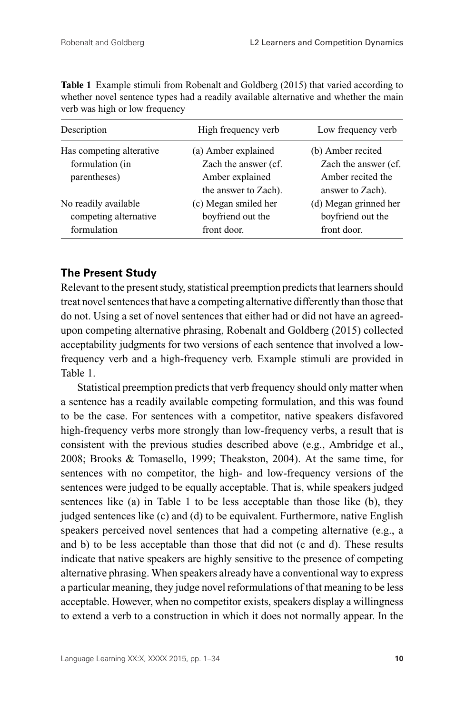| Description              | High frequency verb  | Low frequency verb    |
|--------------------------|----------------------|-----------------------|
| Has competing alterative | (a) Amber explained  | (b) Amber recited     |
| formulation (in          | Zach the answer (cf. | Zach the answer (cf.  |
| parentheses)             | Amber explained      | Amber recited the     |
|                          | the answer to Zach). | answer to Zach).      |
| No readily available     | (c) Megan smiled her | (d) Megan grinned her |
| competing alternative    | boyfriend out the    | boyfriend out the     |
| formulation              | front door.          | front door.           |

**Table 1** Example stimuli from Robenalt and Goldberg (2015) that varied according to whether novel sentence types had a readily available alternative and whether the main verb was high or low frequency

# **The Present Study**

Relevant to the present study, statistical preemption predicts that learners should treat novel sentences that have a competing alternative differently than those that do not. Using a set of novel sentences that either had or did not have an agreedupon competing alternative phrasing, Robenalt and Goldberg (2015) collected acceptability judgments for two versions of each sentence that involved a lowfrequency verb and a high-frequency verb. Example stimuli are provided in Table 1.

Statistical preemption predicts that verb frequency should only matter when a sentence has a readily available competing formulation, and this was found to be the case. For sentences with a competitor, native speakers disfavored high-frequency verbs more strongly than low-frequency verbs, a result that is consistent with the previous studies described above (e.g., Ambridge et al., 2008; Brooks & Tomasello, 1999; Theakston, 2004). At the same time, for sentences with no competitor, the high- and low-frequency versions of the sentences were judged to be equally acceptable. That is, while speakers judged sentences like (a) in Table 1 to be less acceptable than those like (b), they judged sentences like (c) and (d) to be equivalent. Furthermore, native English speakers perceived novel sentences that had a competing alternative (e.g., a and b) to be less acceptable than those that did not (c and d). These results indicate that native speakers are highly sensitive to the presence of competing alternative phrasing. When speakers already have a conventional way to express a particular meaning, they judge novel reformulations of that meaning to be less acceptable. However, when no competitor exists, speakers display a willingness to extend a verb to a construction in which it does not normally appear. In the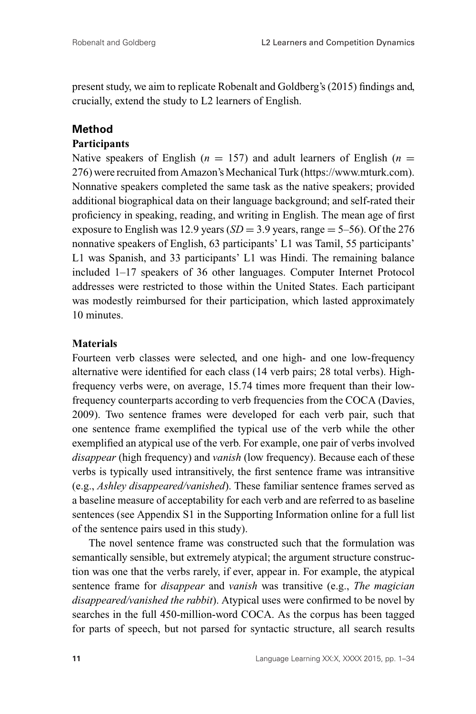present study, we aim to replicate Robenalt and Goldberg's (2015) findings and, crucially, extend the study to L2 learners of English.

# **Method**

# **Participants**

Native speakers of English ( $n = 157$ ) and adult learners of English ( $n =$ 276) were recruited from Amazon's Mechanical Turk (https://www.mturk.com). Nonnative speakers completed the same task as the native speakers; provided additional biographical data on their language background; and self-rated their proficiency in speaking, reading, and writing in English. The mean age of first exposure to English was 12.9 years  $(SD = 3.9$  years, range  $= 5-56$ ). Of the 276 nonnative speakers of English, 63 participants' L1 was Tamil, 55 participants' L1 was Spanish, and 33 participants' L1 was Hindi. The remaining balance included 1–17 speakers of 36 other languages. Computer Internet Protocol addresses were restricted to those within the United States. Each participant was modestly reimbursed for their participation, which lasted approximately 10 minutes.

# **Materials**

Fourteen verb classes were selected, and one high- and one low-frequency alternative were identified for each class (14 verb pairs; 28 total verbs). Highfrequency verbs were, on average, 15.74 times more frequent than their lowfrequency counterparts according to verb frequencies from the COCA (Davies, 2009). Two sentence frames were developed for each verb pair, such that one sentence frame exemplified the typical use of the verb while the other exemplified an atypical use of the verb. For example, one pair of verbs involved *disappear* (high frequency) and *vanish* (low frequency). Because each of these verbs is typically used intransitively, the first sentence frame was intransitive (e.g., *Ashley disappeared/vanished*). These familiar sentence frames served as a baseline measure of acceptability for each verb and are referred to as baseline sentences (see Appendix S1 in the Supporting Information online for a full list of the sentence pairs used in this study).

The novel sentence frame was constructed such that the formulation was semantically sensible, but extremely atypical; the argument structure construction was one that the verbs rarely, if ever, appear in. For example, the atypical sentence frame for *disappear* and *vanish* was transitive (e.g., *The magician disappeared/vanished the rabbit*). Atypical uses were confirmed to be novel by searches in the full 450-million-word COCA. As the corpus has been tagged for parts of speech, but not parsed for syntactic structure, all search results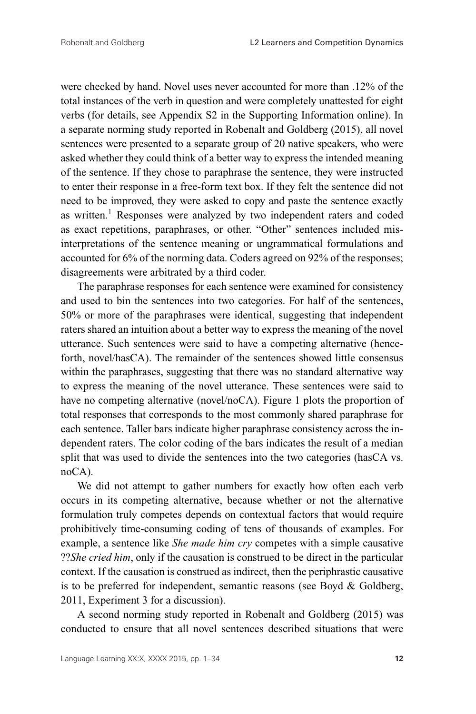were checked by hand. Novel uses never accounted for more than .12% of the total instances of the verb in question and were completely unattested for eight verbs (for details, see Appendix S2 in the Supporting Information online). In a separate norming study reported in Robenalt and Goldberg (2015), all novel sentences were presented to a separate group of 20 native speakers, who were asked whether they could think of a better way to express the intended meaning of the sentence. If they chose to paraphrase the sentence, they were instructed to enter their response in a free-form text box. If they felt the sentence did not need to be improved, they were asked to copy and paste the sentence exactly as written.<sup>1</sup> Responses were analyzed by two independent raters and coded as exact repetitions, paraphrases, or other. "Other" sentences included misinterpretations of the sentence meaning or ungrammatical formulations and accounted for 6% of the norming data. Coders agreed on 92% of the responses; disagreements were arbitrated by a third coder.

The paraphrase responses for each sentence were examined for consistency and used to bin the sentences into two categories. For half of the sentences, 50% or more of the paraphrases were identical, suggesting that independent raters shared an intuition about a better way to express the meaning of the novel utterance. Such sentences were said to have a competing alternative (henceforth, novel/hasCA). The remainder of the sentences showed little consensus within the paraphrases, suggesting that there was no standard alternative way to express the meaning of the novel utterance. These sentences were said to have no competing alternative (novel/noCA). Figure 1 plots the proportion of total responses that corresponds to the most commonly shared paraphrase for each sentence. Taller bars indicate higher paraphrase consistency across the independent raters. The color coding of the bars indicates the result of a median split that was used to divide the sentences into the two categories (hasCA vs. noCA).

We did not attempt to gather numbers for exactly how often each verb occurs in its competing alternative, because whether or not the alternative formulation truly competes depends on contextual factors that would require prohibitively time-consuming coding of tens of thousands of examples. For example, a sentence like *She made him cry* competes with a simple causative ??*She cried him*, only if the causation is construed to be direct in the particular context. If the causation is construed as indirect, then the periphrastic causative is to be preferred for independent, semantic reasons (see Boyd & Goldberg, 2011, Experiment 3 for a discussion).

A second norming study reported in Robenalt and Goldberg (2015) was conducted to ensure that all novel sentences described situations that were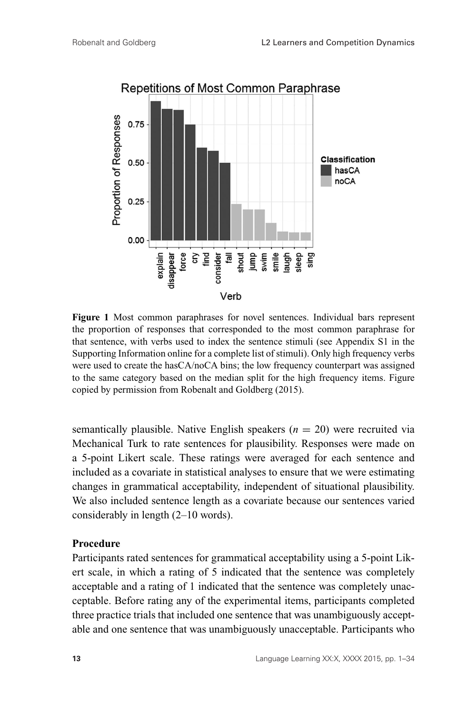

**Figure 1** Most common paraphrases for novel sentences. Individual bars represent the proportion of responses that corresponded to the most common paraphrase for that sentence, with verbs used to index the sentence stimuli (see Appendix S1 in the Supporting Information online for a complete list of stimuli). Only high frequency verbs were used to create the hasCA/noCA bins; the low frequency counterpart was assigned to the same category based on the median split for the high frequency items. Figure copied by permission from Robenalt and Goldberg (2015).

semantically plausible. Native English speakers  $(n = 20)$  were recruited via Mechanical Turk to rate sentences for plausibility. Responses were made on a 5-point Likert scale. These ratings were averaged for each sentence and included as a covariate in statistical analyses to ensure that we were estimating changes in grammatical acceptability, independent of situational plausibility. We also included sentence length as a covariate because our sentences varied considerably in length (2–10 words).

#### **Procedure**

Participants rated sentences for grammatical acceptability using a 5-point Likert scale, in which a rating of 5 indicated that the sentence was completely acceptable and a rating of 1 indicated that the sentence was completely unacceptable. Before rating any of the experimental items, participants completed three practice trials that included one sentence that was unambiguously acceptable and one sentence that was unambiguously unacceptable. Participants who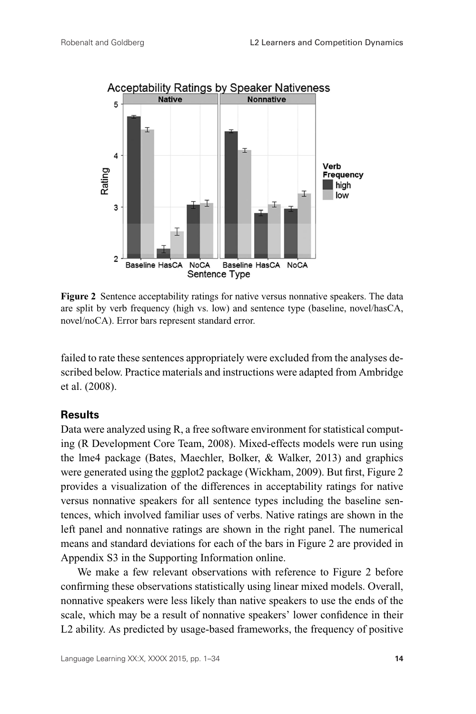

**Figure 2** Sentence acceptability ratings for native versus nonnative speakers. The data are split by verb frequency (high vs. low) and sentence type (baseline, novel/hasCA, novel/noCA). Error bars represent standard error.

failed to rate these sentences appropriately were excluded from the analyses described below. Practice materials and instructions were adapted from Ambridge et al. (2008).

# **Results**

Data were analyzed using R, a free software environment for statistical computing (R Development Core Team, 2008). Mixed-effects models were run using the lme4 package (Bates, Maechler, Bolker, & Walker, 2013) and graphics were generated using the ggplot2 package (Wickham, 2009). But first, Figure 2 provides a visualization of the differences in acceptability ratings for native versus nonnative speakers for all sentence types including the baseline sentences, which involved familiar uses of verbs. Native ratings are shown in the left panel and nonnative ratings are shown in the right panel. The numerical means and standard deviations for each of the bars in Figure 2 are provided in Appendix S3 in the Supporting Information online.

We make a few relevant observations with reference to Figure 2 before confirming these observations statistically using linear mixed models. Overall, nonnative speakers were less likely than native speakers to use the ends of the scale, which may be a result of nonnative speakers' lower confidence in their L2 ability. As predicted by usage-based frameworks, the frequency of positive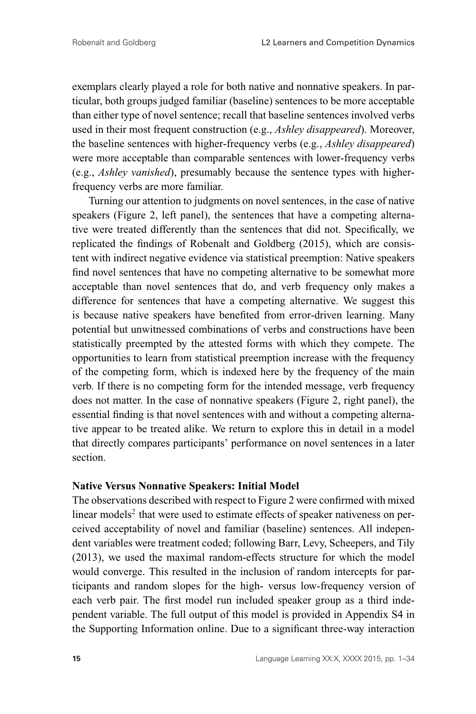exemplars clearly played a role for both native and nonnative speakers. In particular, both groups judged familiar (baseline) sentences to be more acceptable than either type of novel sentence; recall that baseline sentences involved verbs used in their most frequent construction (e.g., *Ashley disappeared*). Moreover, the baseline sentences with higher-frequency verbs (e.g., *Ashley disappeared*) were more acceptable than comparable sentences with lower-frequency verbs (e.g., *Ashley vanished*), presumably because the sentence types with higherfrequency verbs are more familiar.

Turning our attention to judgments on novel sentences, in the case of native speakers (Figure 2, left panel), the sentences that have a competing alternative were treated differently than the sentences that did not. Specifically, we replicated the findings of Robenalt and Goldberg (2015), which are consistent with indirect negative evidence via statistical preemption: Native speakers find novel sentences that have no competing alternative to be somewhat more acceptable than novel sentences that do, and verb frequency only makes a difference for sentences that have a competing alternative. We suggest this is because native speakers have benefited from error-driven learning. Many potential but unwitnessed combinations of verbs and constructions have been statistically preempted by the attested forms with which they compete. The opportunities to learn from statistical preemption increase with the frequency of the competing form, which is indexed here by the frequency of the main verb. If there is no competing form for the intended message, verb frequency does not matter. In the case of nonnative speakers (Figure 2, right panel), the essential finding is that novel sentences with and without a competing alternative appear to be treated alike. We return to explore this in detail in a model that directly compares participants' performance on novel sentences in a later section.

#### **Native Versus Nonnative Speakers: Initial Model**

The observations described with respect to Figure 2 were confirmed with mixed linear models<sup>2</sup> that were used to estimate effects of speaker nativeness on perceived acceptability of novel and familiar (baseline) sentences. All independent variables were treatment coded; following Barr, Levy, Scheepers, and Tily (2013), we used the maximal random-effects structure for which the model would converge. This resulted in the inclusion of random intercepts for participants and random slopes for the high- versus low-frequency version of each verb pair. The first model run included speaker group as a third independent variable. The full output of this model is provided in Appendix S4 in the Supporting Information online. Due to a significant three-way interaction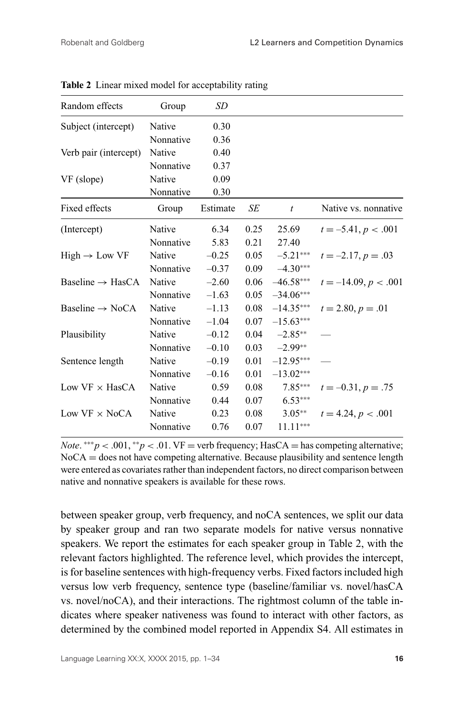| Random effects               | Group     | SD       |      |                 |                        |
|------------------------------|-----------|----------|------|-----------------|------------------------|
| Subject (intercept)          | Native    | 0.30     |      |                 |                        |
|                              | Nonnative | 0.36     |      |                 |                        |
| Verb pair (intercept)        | Native    | 0.40     |      |                 |                        |
|                              | Nonnative | 0.37     |      |                 |                        |
| VF (slope)                   | Native    | 0.09     |      |                 |                        |
|                              | Nonnative | 0.30     |      |                 |                        |
| Fixed effects                | Group     | Estimate | SE   | t               | Native vs. nonnative   |
| (Intercept)                  | Native    | 6.34     | 0.25 | 25.69           | $t = -5.41, p < .001$  |
|                              | Nonnative | 5.83     | 0.21 | 27.40           |                        |
| $High \rightarrow Low \; VF$ | Native    | $-0.25$  | 0.05 | $-5.21***$      | $t = -2.17, p = .03$   |
|                              | Nonnative | $-0.37$  | 0.09 | $-4.30***$      |                        |
| Baseline $\rightarrow$ HasCA | Native    | $-2.60$  | 0.06 | $-46.58***$     | $t = -14.09, p < .001$ |
|                              | Nonnative | $-1.63$  | 0.05 | $-34.06***$     |                        |
| Baseline $\rightarrow$ NoCA  | Native    | $-1.13$  | 0.08 | $-14.35***$     | $t = 2.80, p = .01$    |
|                              | Nonnative | $-1.04$  | 0.07 | $-15.63***$     |                        |
| Plausibility                 | Native    | $-0.12$  |      | $0.04 -2.85***$ |                        |
|                              | Nonnative | $-0.10$  |      | $0.03 -2.99**$  |                        |
| Sentence length              | Native    | $-0.19$  | 0.01 | $-12.95***$     |                        |
|                              | Nonnative | $-0.16$  | 0.01 | $-13.02***$     |                        |
| Low $VF \times HasCA$        | Native    | 0.59     | 0.08 | $7.85***$       | $t = -0.31, p = .75$   |
|                              | Nonnative | 0.44     | 0.07 | $6.53***$       |                        |
| Low $VF \times NoCA$         | Native    | 0.23     | 0.08 | $3.05**$        | $t = 4.24, p < .001$   |
|                              | Nonnative | 0.76     | 0.07 | $11.11***$      |                        |
|                              |           |          |      |                 |                        |

**Table 2** Linear mixed model for acceptability rating

*Note.*  $***p$  < .001,  $*^{*}p$  < .01. VF = verb frequency; HasCA = has competing alternative;  $NoCA =$  does not have competing alternative. Because plausibility and sentence length were entered as covariates rather than independent factors, no direct comparison between native and nonnative speakers is available for these rows.

between speaker group, verb frequency, and noCA sentences, we split our data by speaker group and ran two separate models for native versus nonnative speakers. We report the estimates for each speaker group in Table 2, with the relevant factors highlighted. The reference level, which provides the intercept, is for baseline sentences with high-frequency verbs. Fixed factors included high versus low verb frequency, sentence type (baseline/familiar vs. novel/hasCA vs. novel/noCA), and their interactions. The rightmost column of the table indicates where speaker nativeness was found to interact with other factors, as determined by the combined model reported in Appendix S4. All estimates in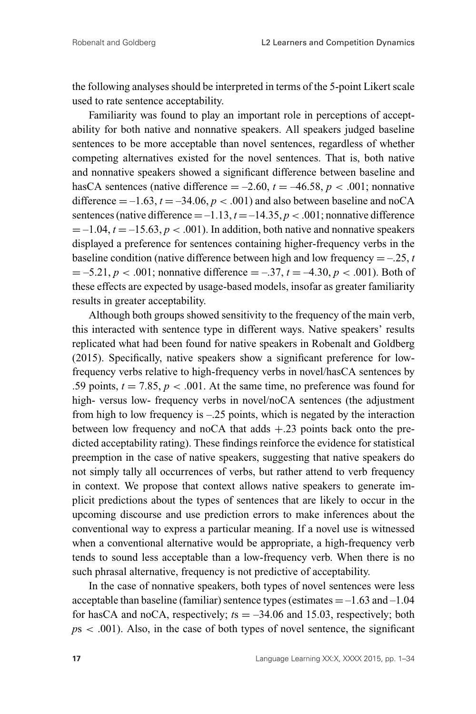the following analyses should be interpreted in terms of the 5-point Likert scale used to rate sentence acceptability.

Familiarity was found to play an important role in perceptions of acceptability for both native and nonnative speakers. All speakers judged baseline sentences to be more acceptable than novel sentences, regardless of whether competing alternatives existed for the novel sentences. That is, both native and nonnative speakers showed a significant difference between baseline and hasCA sentences (native difference  $= -2.60$ ,  $t = -46.58$ ,  $p < .001$ ; nonnative difference  $= -1.63$ ,  $t = -34.06$ ,  $p < .001$ ) and also between baseline and noCA sentences (native difference  $=$   $-1.13$ ,  $t = -14.35$ ,  $p < .001$ ; nonnative difference  $= -1.04$ ,  $t = -15.63$ ,  $p < .001$ ). In addition, both native and nonnative speakers displayed a preference for sentences containing higher-frequency verbs in the baseline condition (native difference between high and low frequency  $=$  -.25, *t*  $= -5.21, p < .001$ ; nonnative difference  $= -0.37, t = -4.30, p < .001$ ). Both of these effects are expected by usage-based models, insofar as greater familiarity results in greater acceptability.

Although both groups showed sensitivity to the frequency of the main verb, this interacted with sentence type in different ways. Native speakers' results replicated what had been found for native speakers in Robenalt and Goldberg (2015). Specifically, native speakers show a significant preference for lowfrequency verbs relative to high-frequency verbs in novel/hasCA sentences by .59 points,  $t = 7.85$ ,  $p < .001$ . At the same time, no preference was found for high- versus low- frequency verbs in novel/noCA sentences (the adjustment from high to low frequency is –.25 points, which is negated by the interaction between low frequency and noCA that adds  $+.23$  points back onto the predicted acceptability rating). These findings reinforce the evidence for statistical preemption in the case of native speakers, suggesting that native speakers do not simply tally all occurrences of verbs, but rather attend to verb frequency in context. We propose that context allows native speakers to generate implicit predictions about the types of sentences that are likely to occur in the upcoming discourse and use prediction errors to make inferences about the conventional way to express a particular meaning. If a novel use is witnessed when a conventional alternative would be appropriate, a high-frequency verb tends to sound less acceptable than a low-frequency verb. When there is no such phrasal alternative, frequency is not predictive of acceptability.

In the case of nonnative speakers, both types of novel sentences were less acceptable than baseline (familiar) sentence types (estimates  $=$  -1.63 and -1.04 for hasCA and noCA, respectively;  $ts = -34.06$  and 15.03, respectively; both  $p<sub>5</sub>$  < .001). Also, in the case of both types of novel sentence, the significant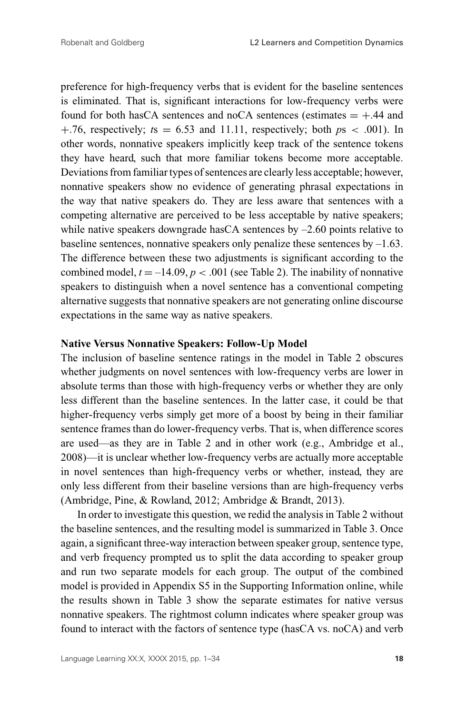preference for high-frequency verbs that is evident for the baseline sentences is eliminated. That is, significant interactions for low-frequency verbs were found for both hasCA sentences and noCA sentences (estimates  $= +.44$  and  $+0.76$ , respectively;  $ts = 6.53$  and 11.11, respectively; both  $ps < 0.001$ ). In other words, nonnative speakers implicitly keep track of the sentence tokens they have heard, such that more familiar tokens become more acceptable. Deviations from familiar types of sentences are clearly less acceptable; however, nonnative speakers show no evidence of generating phrasal expectations in the way that native speakers do. They are less aware that sentences with a competing alternative are perceived to be less acceptable by native speakers; while native speakers downgrade has CA sentences by  $-2.60$  points relative to baseline sentences, nonnative speakers only penalize these sentences by –1.63. The difference between these two adjustments is significant according to the combined model,  $t = -14.09$ ,  $p < .001$  (see Table 2). The inability of nonnative speakers to distinguish when a novel sentence has a conventional competing alternative suggests that nonnative speakers are not generating online discourse expectations in the same way as native speakers.

#### **Native Versus Nonnative Speakers: Follow-Up Model**

The inclusion of baseline sentence ratings in the model in Table 2 obscures whether judgments on novel sentences with low-frequency verbs are lower in absolute terms than those with high-frequency verbs or whether they are only less different than the baseline sentences. In the latter case, it could be that higher-frequency verbs simply get more of a boost by being in their familiar sentence frames than do lower-frequency verbs. That is, when difference scores are used—as they are in Table 2 and in other work (e.g., Ambridge et al., 2008)—it is unclear whether low-frequency verbs are actually more acceptable in novel sentences than high-frequency verbs or whether, instead, they are only less different from their baseline versions than are high-frequency verbs (Ambridge, Pine, & Rowland, 2012; Ambridge & Brandt, 2013).

In order to investigate this question, we redid the analysis in Table 2 without the baseline sentences, and the resulting model is summarized in Table 3. Once again, a significant three-way interaction between speaker group, sentence type, and verb frequency prompted us to split the data according to speaker group and run two separate models for each group. The output of the combined model is provided in Appendix S5 in the Supporting Information online, while the results shown in Table 3 show the separate estimates for native versus nonnative speakers. The rightmost column indicates where speaker group was found to interact with the factors of sentence type (hasCA vs. noCA) and verb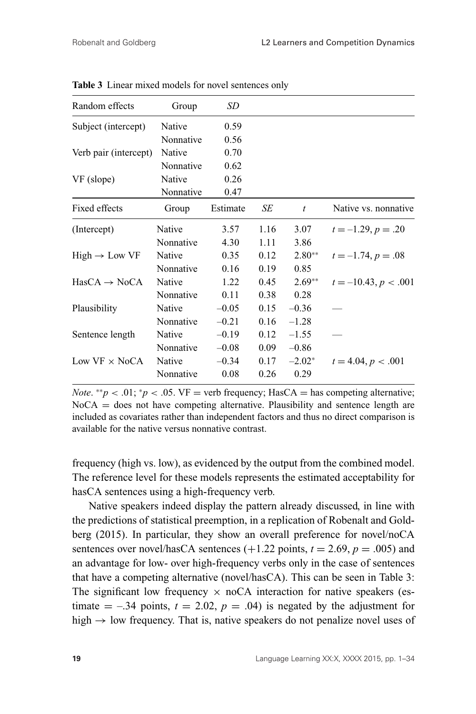| Random effects            | Group     | SD       |      |          |                        |
|---------------------------|-----------|----------|------|----------|------------------------|
| Subject (intercept)       | Native    | 0.59     |      |          |                        |
|                           | Nonnative | 0.56     |      |          |                        |
| Verb pair (intercept)     | Native    | 0.70     |      |          |                        |
|                           | Nonnative | 0.62     |      |          |                        |
| VF (slope)                | Native    | 0.26     |      |          |                        |
|                           | Nonnative | 0.47     |      |          |                        |
| Fixed effects             | Group     | Estimate | SЕ   | t        | Native vs. nonnative   |
| (Intercept)               | Native    | 3.57     | 1.16 | 3.07     | $t = -1.29, p = .20$   |
|                           | Nonnative | 4.30     | 1.11 | 3.86     |                        |
| $High \rightarrow Low VF$ | Native    | 0.35     | 0.12 | $2.80**$ | $t = -1.74, p = .08$   |
|                           | Nonnative | 0.16     | 0.19 | 0.85     |                        |
| $HasCA \rightarrow NoCA$  | Native    | 1.22     | 0.45 | $2.69**$ | $t = -10.43, p < .001$ |
|                           | Nonnative | 0.11     | 0.38 | 0.28     |                        |
| Plausibility              | Native    | $-0.05$  | 0.15 | $-0.36$  |                        |
|                           | Nonnative | $-0.21$  | 0.16 | $-1.28$  |                        |
| Sentence length           | Native    | $-0.19$  | 0.12 | $-1.55$  |                        |
|                           | Nonnative | $-0.08$  | 0.09 | $-0.86$  |                        |
| Low $VF \times NoCA$      | Native    | $-0.34$  | 0.17 | $-2.02*$ | $t = 4.04, p < .001$   |
|                           | Nonnative | 0.08     | 0.26 | 0.29     |                        |
|                           |           |          |      |          |                        |

**Table 3** Linear mixed models for novel sentences only

*Note.*  $^{**}p < .01$ ;  $^{*}p < .05$ . VF = verb frequency; HasCA = has competing alternative;  $NoCA =$  does not have competing alternative. Plausibility and sentence length are included as covariates rather than independent factors and thus no direct comparison is available for the native versus nonnative contrast.

frequency (high vs. low), as evidenced by the output from the combined model. The reference level for these models represents the estimated acceptability for hasCA sentences using a high-frequency verb.

Native speakers indeed display the pattern already discussed, in line with the predictions of statistical preemption, in a replication of Robenalt and Goldberg (2015). In particular, they show an overall preference for novel/noCA sentences over novel/hasCA sentences  $(+1.22 \text{ points}, t = 2.69, p = .005)$  and an advantage for low- over high-frequency verbs only in the case of sentences that have a competing alternative (novel/hasCA). This can be seen in Table 3: The significant low frequency  $\times$  noCA interaction for native speakers (estimate  $= -0.34$  points,  $t = 2.02$ ,  $p = 0.04$ ) is negated by the adjustment for high  $\rightarrow$  low frequency. That is, native speakers do not penalize novel uses of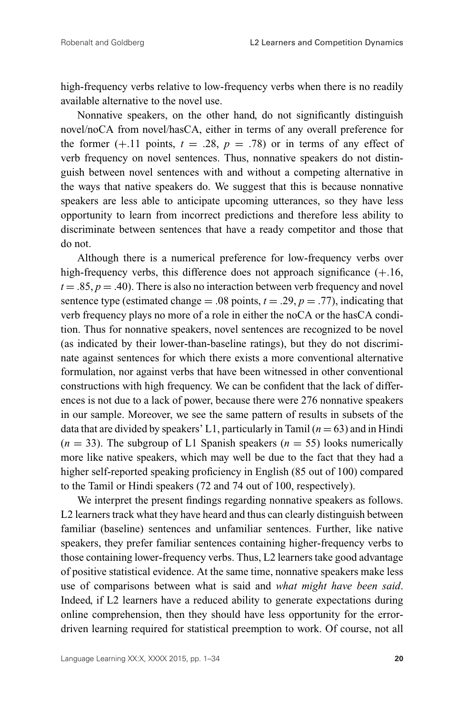high-frequency verbs relative to low-frequency verbs when there is no readily available alternative to the novel use.

Nonnative speakers, on the other hand, do not significantly distinguish novel/noCA from novel/hasCA, either in terms of any overall preference for the former  $(+.11 \text{ points}, t = .28, p = .78)$  or in terms of any effect of verb frequency on novel sentences. Thus, nonnative speakers do not distinguish between novel sentences with and without a competing alternative in the ways that native speakers do. We suggest that this is because nonnative speakers are less able to anticipate upcoming utterances, so they have less opportunity to learn from incorrect predictions and therefore less ability to discriminate between sentences that have a ready competitor and those that do not.

Although there is a numerical preference for low-frequency verbs over high-frequency verbs, this difference does not approach significance  $(+.16,$  $t = .85$ ,  $p = .40$ ). There is also no interaction between verb frequency and novel sentence type (estimated change  $= .08$  points,  $t = .29$ ,  $p = .77$ ), indicating that verb frequency plays no more of a role in either the noCA or the hasCA condition. Thus for nonnative speakers, novel sentences are recognized to be novel (as indicated by their lower-than-baseline ratings), but they do not discriminate against sentences for which there exists a more conventional alternative formulation, nor against verbs that have been witnessed in other conventional constructions with high frequency. We can be confident that the lack of differences is not due to a lack of power, because there were 276 nonnative speakers in our sample. Moreover, we see the same pattern of results in subsets of the data that are divided by speakers' L1, particularly in Tamil  $(n = 63)$  and in Hindi  $(n = 33)$ . The subgroup of L1 Spanish speakers  $(n = 55)$  looks numerically more like native speakers, which may well be due to the fact that they had a higher self-reported speaking proficiency in English (85 out of 100) compared to the Tamil or Hindi speakers (72 and 74 out of 100, respectively).

We interpret the present findings regarding nonnative speakers as follows. L2 learners track what they have heard and thus can clearly distinguish between familiar (baseline) sentences and unfamiliar sentences. Further, like native speakers, they prefer familiar sentences containing higher-frequency verbs to those containing lower-frequency verbs. Thus, L2 learners take good advantage of positive statistical evidence. At the same time, nonnative speakers make less use of comparisons between what is said and *what might have been said*. Indeed, if L2 learners have a reduced ability to generate expectations during online comprehension, then they should have less opportunity for the errordriven learning required for statistical preemption to work. Of course, not all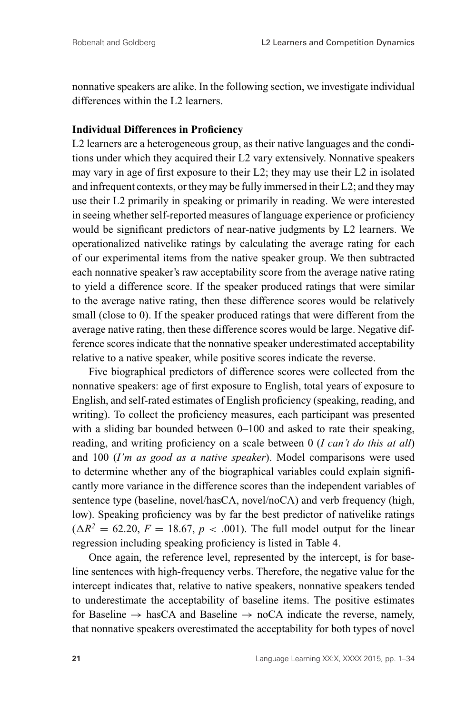nonnative speakers are alike. In the following section, we investigate individual differences within the L2 learners.

#### **Individual Differences in Proficiency**

L2 learners are a heterogeneous group, as their native languages and the conditions under which they acquired their L2 vary extensively. Nonnative speakers may vary in age of first exposure to their L2; they may use their L2 in isolated and infrequent contexts, or they may be fully immersed in their L2; and they may use their L2 primarily in speaking or primarily in reading. We were interested in seeing whether self-reported measures of language experience or proficiency would be significant predictors of near-native judgments by L2 learners. We operationalized nativelike ratings by calculating the average rating for each of our experimental items from the native speaker group. We then subtracted each nonnative speaker's raw acceptability score from the average native rating to yield a difference score. If the speaker produced ratings that were similar to the average native rating, then these difference scores would be relatively small (close to 0). If the speaker produced ratings that were different from the average native rating, then these difference scores would be large. Negative difference scores indicate that the nonnative speaker underestimated acceptability relative to a native speaker, while positive scores indicate the reverse.

Five biographical predictors of difference scores were collected from the nonnative speakers: age of first exposure to English, total years of exposure to English, and self-rated estimates of English proficiency (speaking, reading, and writing). To collect the proficiency measures, each participant was presented with a sliding bar bounded between 0–100 and asked to rate their speaking, reading, and writing proficiency on a scale between 0 (*I can't do this at all*) and 100 (*I'm as good as a native speaker*). Model comparisons were used to determine whether any of the biographical variables could explain significantly more variance in the difference scores than the independent variables of sentence type (baseline, novel/hasCA, novel/noCA) and verb frequency (high, low). Speaking proficiency was by far the best predictor of nativelike ratings  $(\Delta R^2 = 62.20, F = 18.67, p < .001)$ . The full model output for the linear regression including speaking proficiency is listed in Table 4.

Once again, the reference level, represented by the intercept, is for baseline sentences with high-frequency verbs. Therefore, the negative value for the intercept indicates that, relative to native speakers, nonnative speakers tended to underestimate the acceptability of baseline items. The positive estimates for Baseline  $\rightarrow$  hasCA and Baseline  $\rightarrow$  noCA indicate the reverse, namely, that nonnative speakers overestimated the acceptability for both types of novel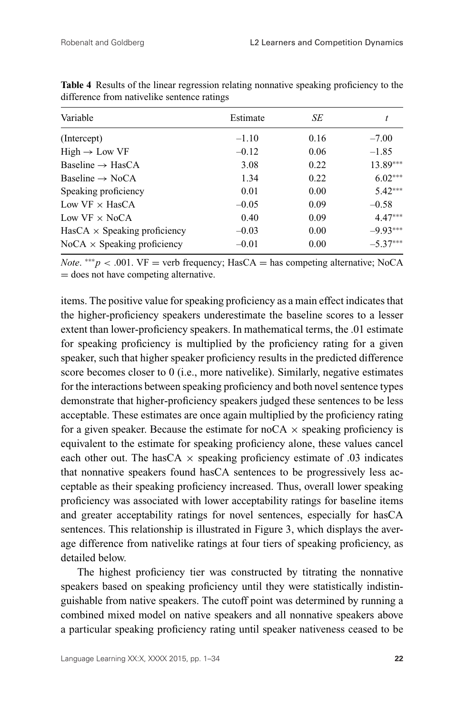| Variable                            | Estimate | SЕ   |            |
|-------------------------------------|----------|------|------------|
| (Intercept)                         | $-1.10$  | 0.16 | $-7.00$    |
| $High \rightarrow Low VF$           | $-0.12$  | 0.06 | $-1.85$    |
| Baseline $\rightarrow$ HasCA        | 3.08     | 0.22 | $13.89***$ |
| Baseline $\rightarrow$ NoCA         | 1.34     | 0.22 | $6.02***$  |
| Speaking proficiency                | 0.01     | 0.00 | $5.42***$  |
| Low $VF \times HasCA$               | $-0.05$  | 0.09 | $-0.58$    |
| Low $VF \times NoCA$                | 0.40     | 0.09 | $4.47***$  |
| $HasCA \times Speaking$ proficiency | $-0.03$  | 0.00 | $-9.93***$ |
| $NoCA \times Spesaking$ proficiency | $-0.01$  | 0.00 | $-5.37***$ |

**Table 4** Results of the linear regression relating nonnative speaking proficiency to the difference from nativelike sentence ratings

*Note.* \*\*\**p* < .001. VF = verb frequency; HasCA = has competing alternative; NoCA = does not have competing alternative.

items. The positive value for speaking proficiency as a main effect indicates that the higher-proficiency speakers underestimate the baseline scores to a lesser extent than lower-proficiency speakers. In mathematical terms, the .01 estimate for speaking proficiency is multiplied by the proficiency rating for a given speaker, such that higher speaker proficiency results in the predicted difference score becomes closer to 0 (i.e., more nativelike). Similarly, negative estimates for the interactions between speaking proficiency and both novel sentence types demonstrate that higher-proficiency speakers judged these sentences to be less acceptable. These estimates are once again multiplied by the proficiency rating for a given speaker. Because the estimate for  $nO(A \times$  speaking proficiency is equivalent to the estimate for speaking proficiency alone, these values cancel each other out. The hasCA  $\times$  speaking proficiency estimate of .03 indicates that nonnative speakers found hasCA sentences to be progressively less acceptable as their speaking proficiency increased. Thus, overall lower speaking proficiency was associated with lower acceptability ratings for baseline items and greater acceptability ratings for novel sentences, especially for hasCA sentences. This relationship is illustrated in Figure 3, which displays the average difference from nativelike ratings at four tiers of speaking proficiency, as detailed below.

The highest proficiency tier was constructed by titrating the nonnative speakers based on speaking proficiency until they were statistically indistinguishable from native speakers. The cutoff point was determined by running a combined mixed model on native speakers and all nonnative speakers above a particular speaking proficiency rating until speaker nativeness ceased to be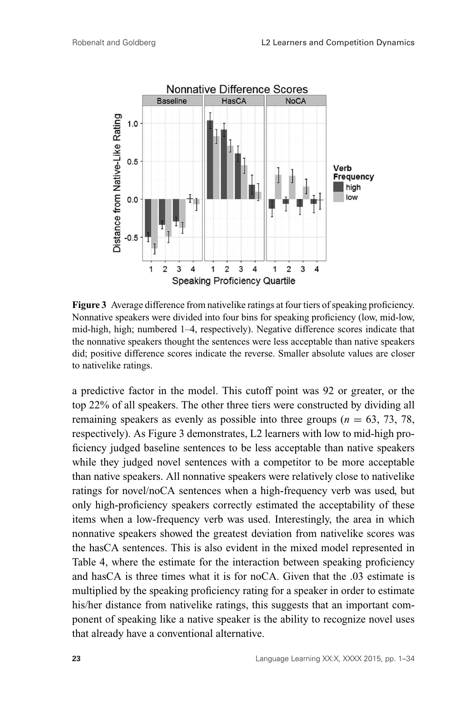

**Figure 3** Average difference from nativelike ratings at four tiers of speaking proficiency. Nonnative speakers were divided into four bins for speaking proficiency (low, mid-low, mid-high, high; numbered 1–4, respectively). Negative difference scores indicate that the nonnative speakers thought the sentences were less acceptable than native speakers did; positive difference scores indicate the reverse. Smaller absolute values are closer to nativelike ratings.

a predictive factor in the model. This cutoff point was 92 or greater, or the top 22% of all speakers. The other three tiers were constructed by dividing all remaining speakers as evenly as possible into three groups  $(n = 63, 73, 78, ...)$ respectively). As Figure 3 demonstrates, L2 learners with low to mid-high proficiency judged baseline sentences to be less acceptable than native speakers while they judged novel sentences with a competitor to be more acceptable than native speakers. All nonnative speakers were relatively close to nativelike ratings for novel/noCA sentences when a high-frequency verb was used, but only high-proficiency speakers correctly estimated the acceptability of these items when a low-frequency verb was used. Interestingly, the area in which nonnative speakers showed the greatest deviation from nativelike scores was the hasCA sentences. This is also evident in the mixed model represented in Table 4, where the estimate for the interaction between speaking proficiency and hasCA is three times what it is for noCA. Given that the .03 estimate is multiplied by the speaking proficiency rating for a speaker in order to estimate his/her distance from nativelike ratings, this suggests that an important component of speaking like a native speaker is the ability to recognize novel uses that already have a conventional alternative.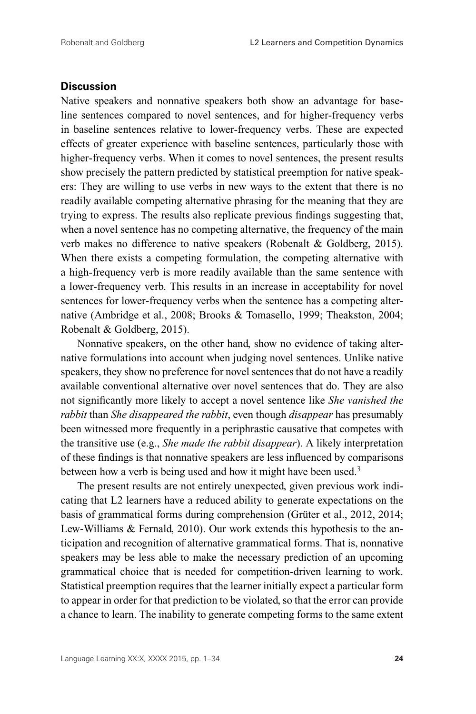#### **Discussion**

Native speakers and nonnative speakers both show an advantage for baseline sentences compared to novel sentences, and for higher-frequency verbs in baseline sentences relative to lower-frequency verbs. These are expected effects of greater experience with baseline sentences, particularly those with higher-frequency verbs. When it comes to novel sentences, the present results show precisely the pattern predicted by statistical preemption for native speakers: They are willing to use verbs in new ways to the extent that there is no readily available competing alternative phrasing for the meaning that they are trying to express. The results also replicate previous findings suggesting that, when a novel sentence has no competing alternative, the frequency of the main verb makes no difference to native speakers (Robenalt & Goldberg, 2015). When there exists a competing formulation, the competing alternative with a high-frequency verb is more readily available than the same sentence with a lower-frequency verb. This results in an increase in acceptability for novel sentences for lower-frequency verbs when the sentence has a competing alternative (Ambridge et al., 2008; Brooks & Tomasello, 1999; Theakston, 2004; Robenalt & Goldberg, 2015).

Nonnative speakers, on the other hand, show no evidence of taking alternative formulations into account when judging novel sentences. Unlike native speakers, they show no preference for novel sentences that do not have a readily available conventional alternative over novel sentences that do. They are also not significantly more likely to accept a novel sentence like *She vanished the rabbit* than *She disappeared the rabbit*, even though *disappear* has presumably been witnessed more frequently in a periphrastic causative that competes with the transitive use (e.g., *She made the rabbit disappear*). A likely interpretation of these findings is that nonnative speakers are less influenced by comparisons between how a verb is being used and how it might have been used.<sup>3</sup>

The present results are not entirely unexpected, given previous work indicating that L2 learners have a reduced ability to generate expectations on the basis of grammatical forms during comprehension (Grüter et al., 2012, 2014; Lew-Williams & Fernald, 2010). Our work extends this hypothesis to the anticipation and recognition of alternative grammatical forms. That is, nonnative speakers may be less able to make the necessary prediction of an upcoming grammatical choice that is needed for competition-driven learning to work. Statistical preemption requires that the learner initially expect a particular form to appear in order for that prediction to be violated, so that the error can provide a chance to learn. The inability to generate competing forms to the same extent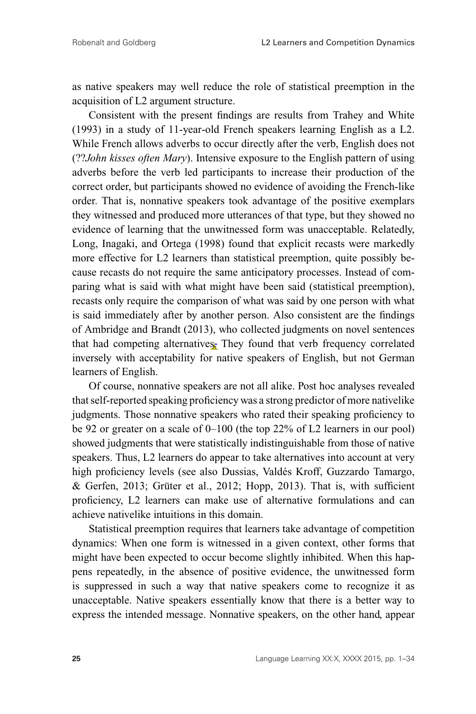as native speakers may well reduce the role of statistical preemption in the acquisition of L2 argument structure.

Consistent with the present findings are results from Trahey and White (1993) in a study of 11-year-old French speakers learning English as a L2. While French allows adverbs to occur directly after the verb, English does not (??*John kisses often Mary*). Intensive exposure to the English pattern of using adverbs before the verb led participants to increase their production of the correct order, but participants showed no evidence of avoiding the French-like order. That is, nonnative speakers took advantage of the positive exemplars they witnessed and produced more utterances of that type, but they showed no evidence of learning that the unwitnessed form was unacceptable. Relatedly, Long, Inagaki, and Ortega (1998) found that explicit recasts were markedly more effective for L2 learners than statistical preemption, quite possibly because recasts do not require the same anticipatory processes. Instead of comparing what is said with what might have been said (statistical preemption), recasts only require the comparison of what was said by one person with what is said immediately after by another person. Also consistent are the findings of Ambridge and Brandt (2013), who collected judgments on novel sentences that had competing alternatives. They found that verb frequency correlated inversely with acceptability for native speakers of English, but not German learners of English.

Of course, nonnative speakers are not all alike. Post hoc analyses revealed that self-reported speaking proficiency was a strong predictor of more nativelike judgments. Those nonnative speakers who rated their speaking proficiency to be 92 or greater on a scale of 0–100 (the top 22% of L2 learners in our pool) showed judgments that were statistically indistinguishable from those of native speakers. Thus, L2 learners do appear to take alternatives into account at very high proficiency levels (see also Dussias, Valdés Kroff, Guzzardo Tamargo, & Gerfen, 2013; Grüter et al., 2012; Hopp, 2013). That is, with sufficient proficiency, L2 learners can make use of alternative formulations and can achieve nativelike intuitions in this domain.

Statistical preemption requires that learners take advantage of competition dynamics: When one form is witnessed in a given context, other forms that might have been expected to occur become slightly inhibited. When this happens repeatedly, in the absence of positive evidence, the unwitnessed form is suppressed in such a way that native speakers come to recognize it as unacceptable. Native speakers essentially know that there is a better way to express the intended message. Nonnative speakers, on the other hand, appear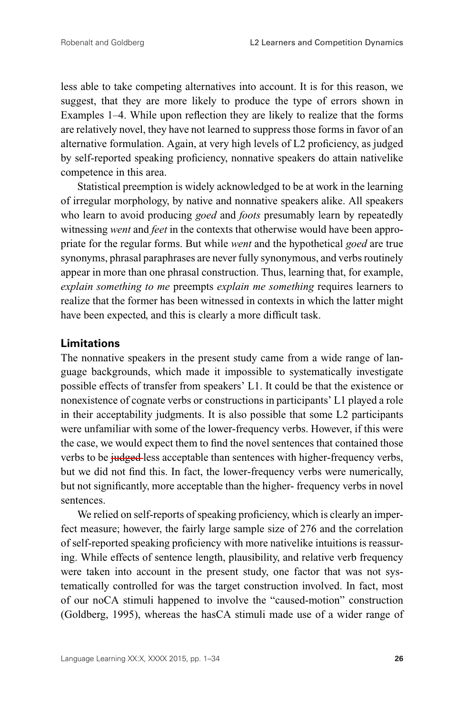less able to take competing alternatives into account. It is for this reason, we suggest, that they are more likely to produce the type of errors shown in Examples 1–4. While upon reflection they are likely to realize that the forms are relatively novel, they have not learned to suppress those forms in favor of an alternative formulation. Again, at very high levels of L2 proficiency, as judged by self-reported speaking proficiency, nonnative speakers do attain nativelike competence in this area.

Statistical preemption is widely acknowledged to be at work in the learning of irregular morphology, by native and nonnative speakers alike. All speakers who learn to avoid producing *goed* and *foots* presumably learn by repeatedly witnessing *went* and *feet* in the contexts that otherwise would have been appropriate for the regular forms. But while *went* and the hypothetical *goed* are true synonyms, phrasal paraphrases are never fully synonymous, and verbs routinely appear in more than one phrasal construction. Thus, learning that, for example, *explain something to me* preempts *explain me something* requires learners to realize that the former has been witnessed in contexts in which the latter might have been expected, and this is clearly a more difficult task.

#### **Limitations**

The nonnative speakers in the present study came from a wide range of language backgrounds, which made it impossible to systematically investigate possible effects of transfer from speakers' L1. It could be that the existence or nonexistence of cognate verbs or constructions in participants' L1 played a role in their acceptability judgments. It is also possible that some L2 participants were unfamiliar with some of the lower-frequency verbs. However, if this were the case, we would expect them to find the novel sentences that contained those verbs to be judged-less acceptable than sentences with higher-frequency verbs, but we did not find this. In fact, the lower-frequency verbs were numerically, but not significantly, more acceptable than the higher- frequency verbs in novel sentences.

We relied on self-reports of speaking proficiency, which is clearly an imperfect measure; however, the fairly large sample size of 276 and the correlation of self-reported speaking proficiency with more nativelike intuitions is reassuring. While effects of sentence length, plausibility, and relative verb frequency were taken into account in the present study, one factor that was not systematically controlled for was the target construction involved. In fact, most of our noCA stimuli happened to involve the "caused-motion" construction (Goldberg, 1995), whereas the hasCA stimuli made use of a wider range of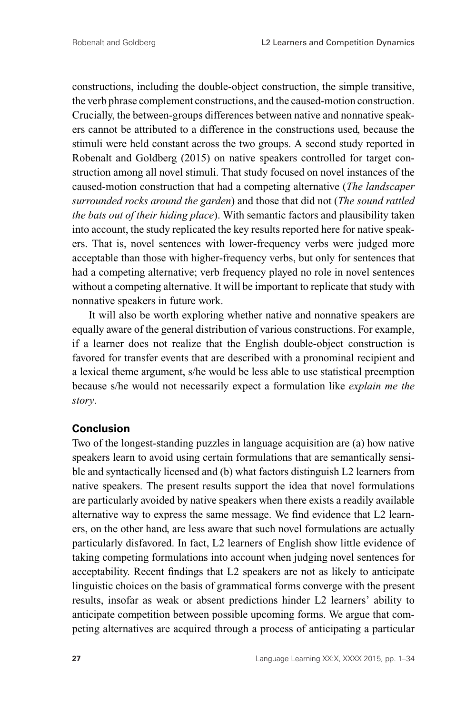constructions, including the double-object construction, the simple transitive, the verb phrase complement constructions, and the caused-motion construction. Crucially, the between-groups differences between native and nonnative speakers cannot be attributed to a difference in the constructions used, because the stimuli were held constant across the two groups. A second study reported in Robenalt and Goldberg (2015) on native speakers controlled for target construction among all novel stimuli. That study focused on novel instances of the caused-motion construction that had a competing alternative (*The landscaper surrounded rocks around the garden*) and those that did not (*The sound rattled the bats out of their hiding place*). With semantic factors and plausibility taken into account, the study replicated the key results reported here for native speakers. That is, novel sentences with lower-frequency verbs were judged more acceptable than those with higher-frequency verbs, but only for sentences that had a competing alternative; verb frequency played no role in novel sentences without a competing alternative. It will be important to replicate that study with nonnative speakers in future work.

It will also be worth exploring whether native and nonnative speakers are equally aware of the general distribution of various constructions. For example, if a learner does not realize that the English double-object construction is favored for transfer events that are described with a pronominal recipient and a lexical theme argument, s/he would be less able to use statistical preemption because s/he would not necessarily expect a formulation like *explain me the story*.

#### **Conclusion**

Two of the longest-standing puzzles in language acquisition are (a) how native speakers learn to avoid using certain formulations that are semantically sensible and syntactically licensed and (b) what factors distinguish L2 learners from native speakers. The present results support the idea that novel formulations are particularly avoided by native speakers when there exists a readily available alternative way to express the same message. We find evidence that L2 learners, on the other hand, are less aware that such novel formulations are actually particularly disfavored. In fact, L2 learners of English show little evidence of taking competing formulations into account when judging novel sentences for acceptability. Recent findings that L2 speakers are not as likely to anticipate linguistic choices on the basis of grammatical forms converge with the present results, insofar as weak or absent predictions hinder L2 learners' ability to anticipate competition between possible upcoming forms. We argue that competing alternatives are acquired through a process of anticipating a particular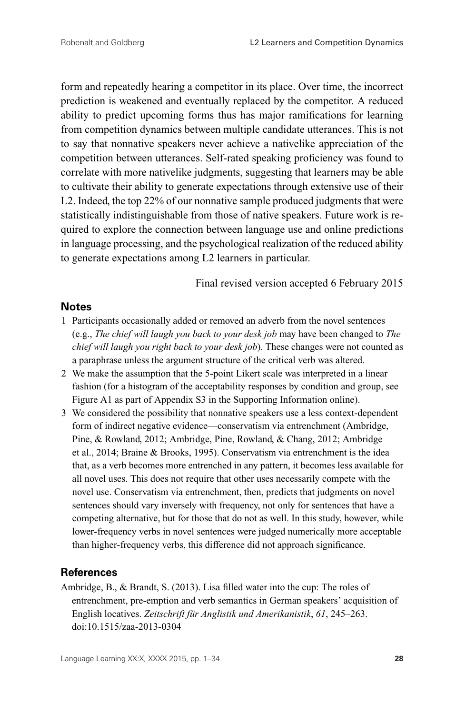form and repeatedly hearing a competitor in its place. Over time, the incorrect prediction is weakened and eventually replaced by the competitor. A reduced ability to predict upcoming forms thus has major ramifications for learning from competition dynamics between multiple candidate utterances. This is not to say that nonnative speakers never achieve a nativelike appreciation of the competition between utterances. Self-rated speaking proficiency was found to correlate with more nativelike judgments, suggesting that learners may be able to cultivate their ability to generate expectations through extensive use of their L2. Indeed, the top 22% of our nonnative sample produced judgments that were statistically indistinguishable from those of native speakers. Future work is required to explore the connection between language use and online predictions in language processing, and the psychological realization of the reduced ability to generate expectations among L2 learners in particular.

Final revised version accepted 6 February 2015

## **Notes**

- 1 Participants occasionally added or removed an adverb from the novel sentences (e.g., *The chief will laugh you back to your desk job* may have been changed to *The chief will laugh you right back to your desk job*). These changes were not counted as a paraphrase unless the argument structure of the critical verb was altered.
- 2 We make the assumption that the 5-point Likert scale was interpreted in a linear fashion (for a histogram of the acceptability responses by condition and group, see Figure A1 as part of Appendix S3 in the Supporting Information online).
- 3 We considered the possibility that nonnative speakers use a less context-dependent form of indirect negative evidence—conservatism via entrenchment (Ambridge, Pine, & Rowland, 2012; Ambridge, Pine, Rowland, & Chang, 2012; Ambridge et al., 2014; Braine & Brooks, 1995). Conservatism via entrenchment is the idea that, as a verb becomes more entrenched in any pattern, it becomes less available for all novel uses. This does not require that other uses necessarily compete with the novel use. Conservatism via entrenchment, then, predicts that judgments on novel sentences should vary inversely with frequency, not only for sentences that have a competing alternative, but for those that do not as well. In this study, however, while lower-frequency verbs in novel sentences were judged numerically more acceptable than higher-frequency verbs, this difference did not approach significance.

# **References**

Ambridge, B., & Brandt, S. (2013). Lisa filled water into the cup: The roles of entrenchment, pre-emption and verb semantics in German speakers' acquisition of English locatives. *Zeitschrift für Anglistik und Amerikanistik*, 61, 245–263. doi:10.1515/zaa-2013-0304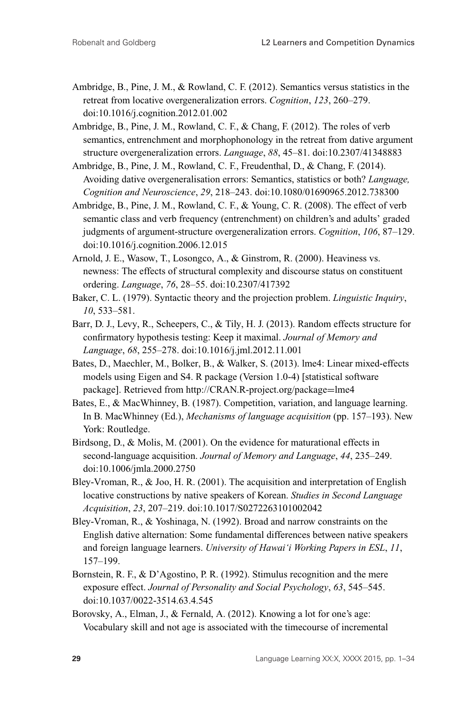- Ambridge, B., Pine, J. M., & Rowland, C. F. (2012). Semantics versus statistics in the retreat from locative overgeneralization errors. *Cognition*, *123*, 260–279. doi:10.1016/j.cognition.2012.01.002
- Ambridge, B., Pine, J. M., Rowland, C. F., & Chang, F. (2012). The roles of verb semantics, entrenchment and morphophonology in the retreat from dative argument structure overgeneralization errors. *Language*, *88*, 45–81. doi:10.2307/41348883
- Ambridge, B., Pine, J. M., Rowland, C. F., Freudenthal, D., & Chang, F. (2014). Avoiding dative overgeneralisation errors: Semantics, statistics or both? *Language, Cognition and Neuroscience*, *29*, 218–243. doi:10.1080/01690965.2012.738300
- Ambridge, B., Pine, J. M., Rowland, C. F., & Young, C. R. (2008). The effect of verb semantic class and verb frequency (entrenchment) on children's and adults' graded judgments of argument-structure overgeneralization errors. *Cognition*, *106*, 87–129. doi:10.1016/j.cognition.2006.12.015
- Arnold, J. E., Wasow, T., Losongco, A., & Ginstrom, R. (2000). Heaviness vs. newness: The effects of structural complexity and discourse status on constituent ordering. *Language*, *76*, 28–55. doi:10.2307/417392
- Baker, C. L. (1979). Syntactic theory and the projection problem. *Linguistic Inquiry*, *10*, 533–581.
- Barr, D. J., Levy, R., Scheepers, C., & Tily, H. J. (2013). Random effects structure for confirmatory hypothesis testing: Keep it maximal. *Journal of Memory and Language*, *68*, 255–278. doi:10.1016/j.jml.2012.11.001
- Bates, D., Maechler, M., Bolker, B., & Walker, S. (2013). lme4: Linear mixed-effects models using Eigen and S4. R package (Version 1.0-4) [statistical software package]. Retrieved from http://CRAN.R-project.org/package=lme4
- Bates, E., & MacWhinney, B. (1987). Competition, variation, and language learning. In B. MacWhinney (Ed.), *Mechanisms of language acquisition* (pp. 157–193). New York: Routledge.
- Birdsong, D., & Molis, M. (2001). On the evidence for maturational effects in second-language acquisition. *Journal of Memory and Language*, *44*, 235–249. doi:10.1006/jmla.2000.2750
- Bley-Vroman, R., & Joo, H. R. (2001). The acquisition and interpretation of English locative constructions by native speakers of Korean. *Studies in Second Language Acquisition*, *23*, 207–219. doi:10.1017/S0272263101002042
- Bley-Vroman, R., & Yoshinaga, N. (1992). Broad and narrow constraints on the English dative alternation: Some fundamental differences between native speakers and foreign language learners. *University of Hawai'i Working Papers in ESL*, *11*, 157–199.
- Bornstein, R. F., & D'Agostino, P. R. (1992). Stimulus recognition and the mere exposure effect. *Journal of Personality and Social Psychology*, *63*, 545–545. doi:10.1037/0022-3514.63.4.545
- Borovsky, A., Elman, J., & Fernald, A. (2012). Knowing a lot for one's age: Vocabulary skill and not age is associated with the timecourse of incremental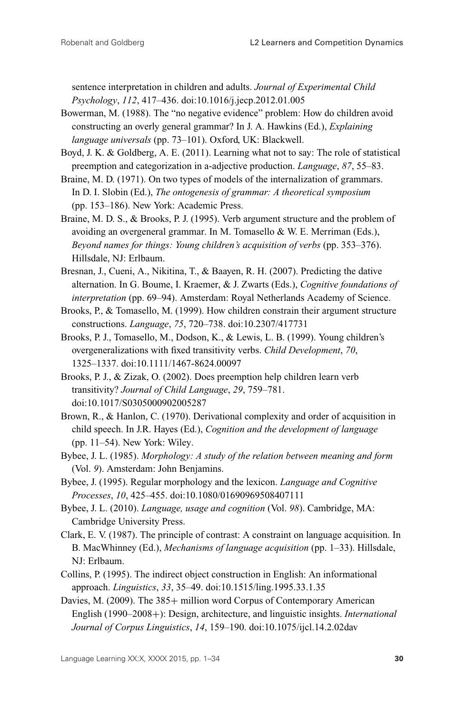sentence interpretation in children and adults. *Journal of Experimental Child Psychology*, *112*, 417–436. doi:10.1016/j.jecp.2012.01.005

- Bowerman, M. (1988). The "no negative evidence" problem: How do children avoid constructing an overly general grammar? In J. A. Hawkins (Ed.), *Explaining language universals* (pp. 73–101). Oxford, UK: Blackwell.
- Boyd, J. K. & Goldberg, A. E. (2011). Learning what not to say: The role of statistical preemption and categorization in a-adjective production. *Language*, *87*, 55–83.
- Braine, M. D. (1971). On two types of models of the internalization of grammars. In D. I. Slobin (Ed.), *The ontogenesis of grammar: A theoretical symposium* (pp. 153–186). New York: Academic Press.
- Braine, M. D. S., & Brooks, P. J. (1995). Verb argument structure and the problem of avoiding an overgeneral grammar. In M. Tomasello & W. E. Merriman (Eds.), *Beyond names for things: Young children's acquisition of verbs* (pp. 353–376). Hillsdale, NJ: Erlbaum.
- Bresnan, J., Cueni, A., Nikitina, T., & Baayen, R. H. (2007). Predicting the dative alternation. In G. Boume, I. Kraemer, & J. Zwarts (Eds.), *Cognitive foundations of interpretation* (pp. 69–94). Amsterdam: Royal Netherlands Academy of Science.
- Brooks, P., & Tomasello, M. (1999). How children constrain their argument structure constructions. *Language*, *75*, 720–738. doi:10.2307/417731
- Brooks, P. J., Tomasello, M., Dodson, K., & Lewis, L. B. (1999). Young children's overgeneralizations with fixed transitivity verbs. *Child Development*, *70*, 1325–1337. doi:10.1111/1467-8624.00097
- Brooks, P. J., & Zizak, O. (2002). Does preemption help children learn verb transitivity? *Journal of Child Language*, *29*, 759–781. doi:10.1017/S0305000902005287
- Brown, R., & Hanlon, C. (1970). Derivational complexity and order of acquisition in child speech. In J.R. Hayes (Ed.), *Cognition and the development of language* (pp. 11–54). New York: Wiley.
- Bybee, J. L. (1985). *Morphology: A study of the relation between meaning and form* (Vol. *9*). Amsterdam: John Benjamins.
- Bybee, J. (1995). Regular morphology and the lexicon. *Language and Cognitive Processes*, *10*, 425–455. doi:10.1080/01690969508407111
- Bybee, J. L. (2010). *Language, usage and cognition* (Vol. *98*). Cambridge, MA: Cambridge University Press.
- Clark, E. V. (1987). The principle of contrast: A constraint on language acquisition. In B. MacWhinney (Ed.), *Mechanisms of language acquisition* (pp. 1–33). Hillsdale, NJ: Erlbaum.
- Collins, P. (1995). The indirect object construction in English: An informational approach. *Linguistics*, *33*, 35–49. doi:10.1515/ling.1995.33.1.35
- Davies, M. (2009). The 385+ million word Corpus of Contemporary American English (1990–2008+): Design, architecture, and linguistic insights. *International Journal of Corpus Linguistics*, *14*, 159–190. doi:10.1075/ijcl.14.2.02dav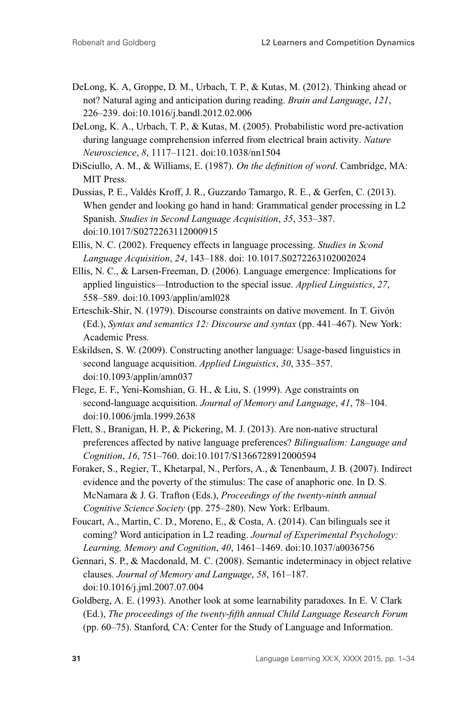- DeLong, K. A, Groppe, D. M., Urbach, T. P., & Kutas, M. (2012). Thinking ahead or not? Natural aging and anticipation during reading. *Brain and Language*, *121*, 226–239. doi:10.1016/j.bandl.2012.02.006
- DeLong, K. A., Urbach, T. P., & Kutas, M. (2005). Probabilistic word pre-activation during language comprehension inferred from electrical brain activity. *Nature Neuroscience*, *8*, 1117–1121. doi:10.1038/nn1504
- DiSciullo, A. M., & Williams, E. (1987). *On the definition of word*. Cambridge, MA: MIT Press.
- Dussias, P. E., Valdés Kroff, J. R., Guzzardo Tamargo, R. E., & Gerfen, C. (2013). When gender and looking go hand in hand: Grammatical gender processing in L2 Spanish. *Studies in Second Language Acquisition*, *35*, 353–387. doi:10.1017/S0272263112000915
- Ellis, N. C. (2002). Frequency effects in language processing. *Studies in Scond Language Acquisition*, *24*, 143–188. doi: 10.1017.S0272263102002024
- Ellis, N. C., & Larsen-Freeman, D. (2006). Language emergence: Implications for applied linguistics—Introduction to the special issue. *Applied Linguistics*, *27*, 558–589. doi:10.1093/applin/aml028
- Erteschik-Shir, N. (1979). Discourse constraints on dative movement. In T. Givon´ (Ed.), *Syntax and semantics 12: Discourse and syntax* (pp. 441–467). New York: Academic Press.
- Eskildsen, S. W. (2009). Constructing another language: Usage-based linguistics in second language acquisition. *Applied Linguistics*, *30*, 335–357. doi:10.1093/applin/amn037
- Flege, E. F., Yeni-Komshian, G. H., & Liu, S. (1999). Age constraints on second-language acquisition. *Journal of Memory and Language*, *41*, 78–104. doi:10.1006/jmla.1999.2638
- Flett, S., Branigan, H. P., & Pickering, M. J. (2013). Are non-native structural preferences affected by native language preferences? *Bilingualism: Language and Cognition*, *16*, 751–760. doi:10.1017/S1366728912000594
- Foraker, S., Regier, T., Khetarpal, N., Perfors, A., & Tenenbaum, J. B. (2007). Indirect evidence and the poverty of the stimulus: The case of anaphoric one. In D. S. McNamara & J. G. Trafton (Eds.), *Proceedings of the twenty-ninth annual Cognitive Science Society* (pp. 275–280). New York: Erlbaum.
- Foucart, A., Martin, C. D., Moreno, E., & Costa, A. (2014). Can bilinguals see it coming? Word anticipation in L2 reading. *Journal of Experimental Psychology: Learning, Memory and Cognition*, *40*, 1461–1469. doi:10.1037/a0036756
- Gennari, S. P., & Macdonald, M. C. (2008). Semantic indeterminacy in object relative clauses. *Journal of Memory and Language*, *58*, 161–187. doi:10.1016/j.jml.2007.07.004
- Goldberg, A. E. (1993). Another look at some learnability paradoxes. In E. V. Clark (Ed.), *The proceedings of the twenty-fifth annual Child Language Research Forum* (pp. 60–75). Stanford, CA: Center for the Study of Language and Information.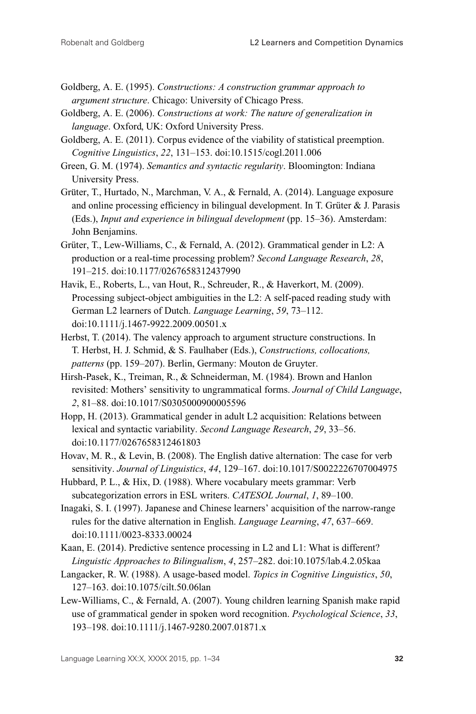- Goldberg, A. E. (1995). *Constructions: A construction grammar approach to argument structure*. Chicago: University of Chicago Press.
- Goldberg, A. E. (2006). *Constructions at work: The nature of generalization in language*. Oxford, UK: Oxford University Press.
- Goldberg, A. E. (2011). Corpus evidence of the viability of statistical preemption. *Cognitive Linguistics*, *22*, 131–153. doi:10.1515/cogl.2011.006
- Green, G. M. (1974). *Semantics and syntactic regularity*. Bloomington: Indiana University Press.
- Grüter, T., Hurtado, N., Marchman, V. A., & Fernald, A. (2014). Language exposure and online processing efficiency in bilingual development. In  $T$ . Grüter  $\&$  J. Parasis (Eds.), *Input and experience in bilingual development* (pp. 15–36). Amsterdam: John Benjamins.
- Grüter, T., Lew-Williams, C., & Fernald, A. (2012). Grammatical gender in L2: A production or a real-time processing problem? *Second Language Research*, *28*, 191–215. doi:10.1177/0267658312437990
- Havik, E., Roberts, L., van Hout, R., Schreuder, R., & Haverkort, M. (2009). Processing subject-object ambiguities in the L2: A self-paced reading study with German L2 learners of Dutch. *Language Learning*, *59*, 73–112. doi:10.1111/j.1467-9922.2009.00501.x
- Herbst, T. (2014). The valency approach to argument structure constructions. In T. Herbst, H. J. Schmid, & S. Faulhaber (Eds.), *Constructions, collocations, patterns* (pp. 159–207). Berlin, Germany: Mouton de Gruyter.
- Hirsh-Pasek, K., Treiman, R., & Schneiderman, M. (1984). Brown and Hanlon revisited: Mothers' sensitivity to ungrammatical forms. *Journal of Child Language*, *2*, 81–88. doi:10.1017/S0305000900005596
- Hopp, H. (2013). Grammatical gender in adult L2 acquisition: Relations between lexical and syntactic variability. *Second Language Research*, *29*, 33–56. doi:10.1177/0267658312461803
- Hovav, M. R., & Levin, B. (2008). The English dative alternation: The case for verb sensitivity. *Journal of Linguistics*, *44*, 129–167. doi:10.1017/S0022226707004975
- Hubbard, P. L., & Hix, D. (1988). Where vocabulary meets grammar: Verb subcategorization errors in ESL writers. *CATESOL Journal*, *1*, 89–100.
- Inagaki, S. I. (1997). Japanese and Chinese learners' acquisition of the narrow-range rules for the dative alternation in English. *Language Learning*, *47*, 637–669. doi:10.1111/0023-8333.00024
- Kaan, E. (2014). Predictive sentence processing in L2 and L1: What is different? *Linguistic Approaches to Bilingualism*, *4*, 257–282. doi:10.1075/lab.4.2.05kaa
- Langacker, R. W. (1988). A usage-based model. *Topics in Cognitive Linguistics*, *50*, 127–163. doi:10.1075/cilt.50.06lan
- Lew-Williams, C., & Fernald, A. (2007). Young children learning Spanish make rapid use of grammatical gender in spoken word recognition. *Psychological Science*, *33*, 193–198. doi:10.1111/j.1467-9280.2007.01871.x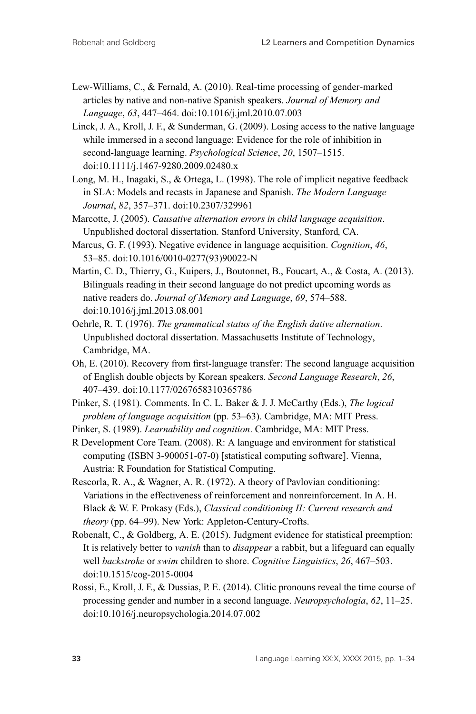- Lew-Williams, C., & Fernald, A. (2010). Real-time processing of gender-marked articles by native and non-native Spanish speakers. *Journal of Memory and Language*, *63*, 447–464. doi:10.1016/j.jml.2010.07.003
- Linck, J. A., Kroll, J. F., & Sunderman, G. (2009). Losing access to the native language while immersed in a second language: Evidence for the role of inhibition in second-language learning. *Psychological Science*, *20*, 1507–1515. doi:10.1111/j.1467-9280.2009.02480.x
- Long, M. H., Inagaki, S., & Ortega, L. (1998). The role of implicit negative feedback in SLA: Models and recasts in Japanese and Spanish. *The Modern Language Journal*, *82*, 357–371. doi:10.2307/329961
- Marcotte, J. (2005). *Causative alternation errors in child language acquisition*. Unpublished doctoral dissertation. Stanford University, Stanford, CA.
- Marcus, G. F. (1993). Negative evidence in language acquisition. *Cognition*, *46*, 53–85. doi:10.1016/0010-0277(93)90022-N
- Martin, C. D., Thierry, G., Kuipers, J., Boutonnet, B., Foucart, A., & Costa, A. (2013). Bilinguals reading in their second language do not predict upcoming words as native readers do. *Journal of Memory and Language*, *69*, 574–588. doi:10.1016/j.jml.2013.08.001
- Oehrle, R. T. (1976). *The grammatical status of the English dative alternation*. Unpublished doctoral dissertation. Massachusetts Institute of Technology, Cambridge, MA.
- Oh, E. (2010). Recovery from first-language transfer: The second language acquisition of English double objects by Korean speakers. *Second Language Research*, *26*, 407–439. doi:10.1177/0267658310365786
- Pinker, S. (1981). Comments. In C. L. Baker & J. J. McCarthy (Eds.), *The logical problem of language acquisition* (pp. 53–63). Cambridge, MA: MIT Press.
- Pinker, S. (1989). *Learnability and cognition*. Cambridge, MA: MIT Press.

R Development Core Team. (2008). R: A language and environment for statistical computing (ISBN 3-900051-07-0) [statistical computing software]. Vienna, Austria: R Foundation for Statistical Computing.

- Rescorla, R. A., & Wagner, A. R. (1972). A theory of Pavlovian conditioning: Variations in the effectiveness of reinforcement and nonreinforcement. In A. H. Black & W. F. Prokasy (Eds.), *Classical conditioning II: Current research and theory* (pp. 64–99). New York: Appleton-Century-Crofts.
- Robenalt, C., & Goldberg, A. E. (2015). Judgment evidence for statistical preemption: It is relatively better to *vanish* than to *disappear* a rabbit, but a lifeguard can equally well *backstroke* or *swim* children to shore. *Cognitive Linguistics*, *26*, 467–503. doi:10.1515/cog-2015-0004
- Rossi, E., Kroll, J. F., & Dussias, P. E. (2014). Clitic pronouns reveal the time course of processing gender and number in a second language. *Neuropsychologia*, *62*, 11–25. doi:10.1016/j.neuropsychologia.2014.07.002